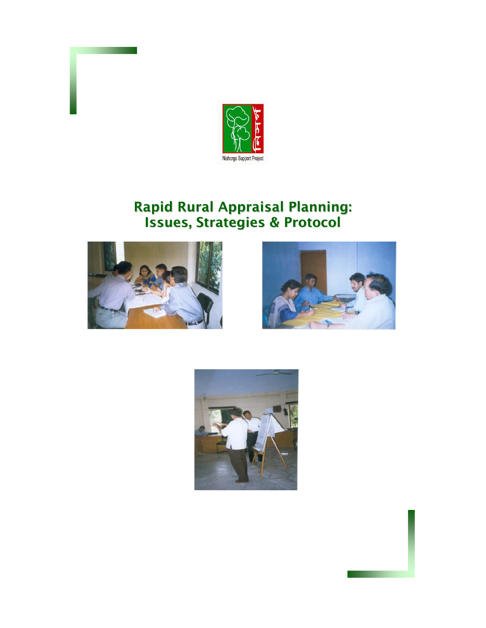

# Rapid Rural Appraisal Planning: Issues, Strategies & Protocol





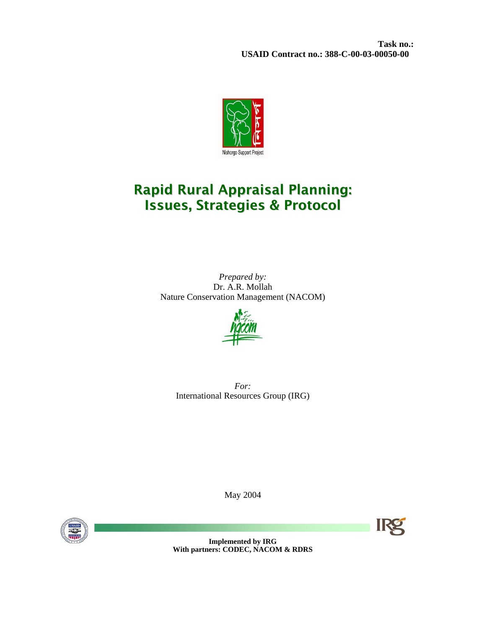**Task no.: USAID Contract no.: 388-C-00-03-00050-00** 



# Rapid Rural Appraisal Planning: Issues, Strategies & Protocol

*Prepared by:*  Dr. A.R. Mollah Nature Conservation Management (NACOM)



*For:*  International Resources Group (IRG)

May 2004



**Implemented by IRG With partners: CODEC, NACOM & RDRS**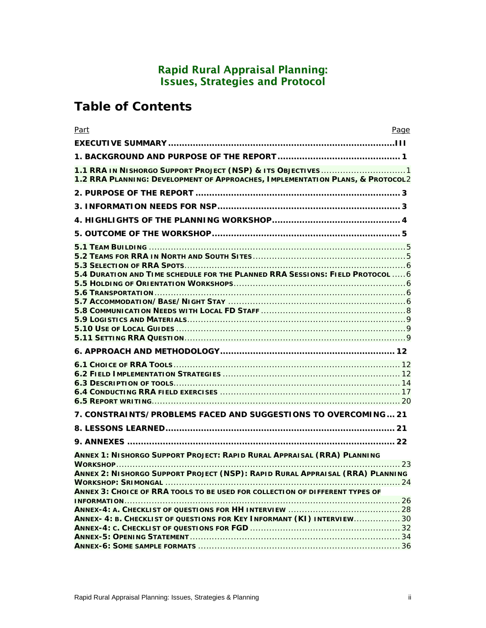## Rapid Rural Appraisal Planning: Issues, Strategies and Protocol

# **Table of Contents**

| Part                                                                                                                                                     | Page |
|----------------------------------------------------------------------------------------------------------------------------------------------------------|------|
|                                                                                                                                                          |      |
|                                                                                                                                                          |      |
| 1.2 RRA PLANNING: DEVELOPMENT OF APPROACHES, IMPLEMENTATION PLANS, & PROTOCOL2                                                                           |      |
|                                                                                                                                                          |      |
|                                                                                                                                                          |      |
|                                                                                                                                                          |      |
|                                                                                                                                                          |      |
| 5.4 DURATION AND TIME SCHEDULE FOR THE PLANNED RRA SESSIONS: FIELD PROTOCOL  6                                                                           |      |
|                                                                                                                                                          |      |
|                                                                                                                                                          |      |
| 7. CONSTRAINTS/PROBLEMS FACED AND SUGGESTIONS TO OVERCOMING 21                                                                                           |      |
|                                                                                                                                                          |      |
|                                                                                                                                                          |      |
| ANNEX 1: NISHORGO SUPPORT PROJECT: RAPID RURAL APPRAISAL (RRA) PLANNING<br>ANNEX 2: NISHORGO SUPPORT PROJECT (NSP): RAPID RURAL APPRAISAL (RRA) PLANNING | . 23 |
| ANNEX 3: CHOICE OF RRA TOOLS TO BE USED FOR COLLECTION OF DIFFERENT TYPES OF                                                                             |      |
| ANNEX- 4: B. CHECKLIST OF QUESTIONS FOR KEY INFORMANT (KI) INTERVIEW 30                                                                                  |      |
|                                                                                                                                                          |      |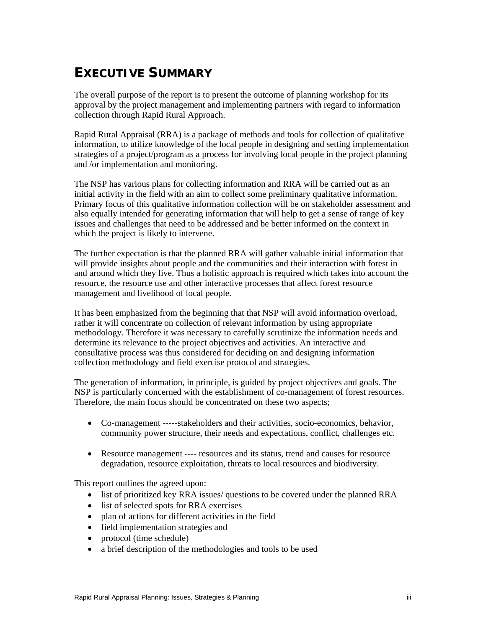# **EXECUTIVE SUMMARY**

The overall purpose of the report is to present the outcome of planning workshop for its approval by the project management and implementing partners with regard to information collection through Rapid Rural Approach.

Rapid Rural Appraisal (RRA) is a package of methods and tools for collection of qualitative information, to utilize knowledge of the local people in designing and setting implementation strategies of a project/program as a process for involving local people in the project planning and /or implementation and monitoring.

The NSP has various plans for collecting information and RRA will be carried out as an initial activity in the field with an aim to collect some preliminary qualitative information. Primary focus of this qualitative information collection will be on stakeholder assessment and also equally intended for generating information that will help to get a sense of range of key issues and challenges that need to be addressed and be better informed on the context in which the project is likely to intervene.

The further expectation is that the planned RRA will gather valuable initial information that will provide insights about people and the communities and their interaction with forest in and around which they live. Thus a holistic approach is required which takes into account the resource, the resource use and other interactive processes that affect forest resource management and livelihood of local people.

It has been emphasized from the beginning that that NSP will avoid information overload, rather it will concentrate on collection of relevant information by using appropriate methodology. Therefore it was necessary to carefully scrutinize the information needs and determine its relevance to the project objectives and activities. An interactive and consultative process was thus considered for deciding on and designing information collection methodology and field exercise protocol and strategies.

The generation of information, in principle, is guided by project objectives and goals. The NSP is particularly concerned with the establishment of co-management of forest resources. Therefore, the main focus should be concentrated on these two aspects;

- Co-management -----stakeholders and their activities, socio-economics, behavior, community power structure, their needs and expectations, conflict, challenges etc.
- Resource management ---- resources and its status, trend and causes for resource degradation, resource exploitation, threats to local resources and biodiversity.

This report outlines the agreed upon:

- list of prioritized key RRA issues/ questions to be covered under the planned RRA
- list of selected spots for RRA exercises
- plan of actions for different activities in the field
- field implementation strategies and
- protocol (time schedule)
- a brief description of the methodologies and tools to be used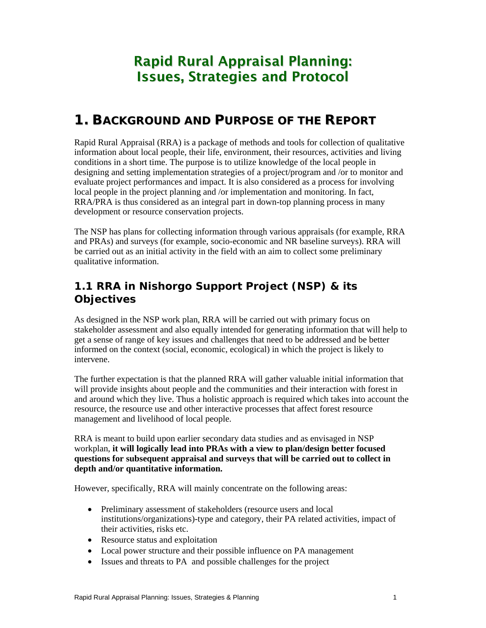# Rapid Rural Appraisal Planning: Issues, Strategies and Protocol

# **1. BACKGROUND AND PURPOSE OF THE REPORT**

Rapid Rural Appraisal (RRA) is a package of methods and tools for collection of qualitative information about local people, their life, environment, their resources, activities and living conditions in a short time. The purpose is to utilize knowledge of the local people in designing and setting implementation strategies of a project/program and /or to monitor and evaluate project performances and impact. It is also considered as a process for involving local people in the project planning and /or implementation and monitoring. In fact, RRA/PRA is thus considered as an integral part in down-top planning process in many development or resource conservation projects.

The NSP has plans for collecting information through various appraisals (for example, RRA and PRAs) and surveys (for example, socio-economic and NR baseline surveys). RRA will be carried out as an initial activity in the field with an aim to collect some preliminary qualitative information.

# **1.1 RRA in Nishorgo Support Project (NSP) & its Objectives**

As designed in the NSP work plan, RRA will be carried out with primary focus on stakeholder assessment and also equally intended for generating information that will help to get a sense of range of key issues and challenges that need to be addressed and be better informed on the context (social, economic, ecological) in which the project is likely to intervene.

The further expectation is that the planned RRA will gather valuable initial information that will provide insights about people and the communities and their interaction with forest in and around which they live. Thus a holistic approach is required which takes into account the resource, the resource use and other interactive processes that affect forest resource management and livelihood of local people.

RRA is meant to build upon earlier secondary data studies and as envisaged in NSP workplan, **it will logically lead into PRAs with a view to plan/design better focused questions for subsequent appraisal and surveys that will be carried out to collect in depth and/or quantitative information.**

However, specifically, RRA will mainly concentrate on the following areas:

- Preliminary assessment of stakeholders (resource users and local institutions/organizations)-type and category, their PA related activities, impact of their activities, risks etc.
- Resource status and exploitation
- Local power structure and their possible influence on PA management
- Issues and threats to PA and possible challenges for the project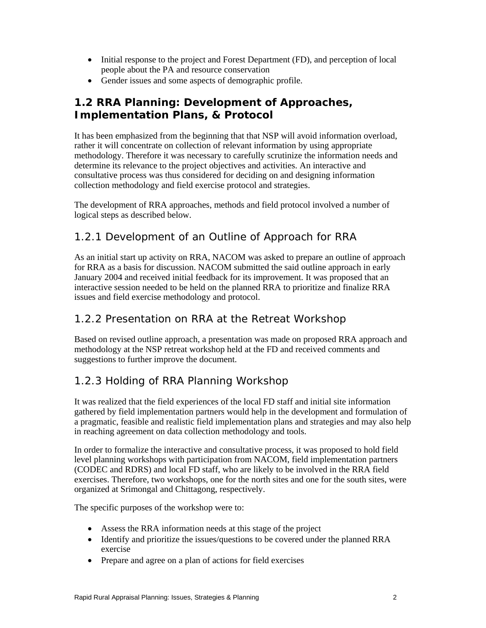- Initial response to the project and Forest Department (FD), and perception of local people about the PA and resource conservation
- Gender issues and some aspects of demographic profile.

# **1.2 RRA Planning: Development of Approaches, Implementation Plans, & Protocol**

It has been emphasized from the beginning that that NSP will avoid information overload, rather it will concentrate on collection of relevant information by using appropriate methodology. Therefore it was necessary to carefully scrutinize the information needs and determine its relevance to the project objectives and activities. An interactive and consultative process was thus considered for deciding on and designing information collection methodology and field exercise protocol and strategies.

The development of RRA approaches, methods and field protocol involved a number of logical steps as described below.

## *1.2.1 Development of an Outline of Approach for RRA*

As an initial start up activity on RRA, NACOM was asked to prepare an outline of approach for RRA as a basis for discussion. NACOM submitted the said outline approach in early January 2004 and received initial feedback for its improvement. It was proposed that an interactive session needed to be held on the planned RRA to prioritize and finalize RRA issues and field exercise methodology and protocol.

### *1.2.2 Presentation on RRA at the Retreat Workshop*

Based on revised outline approach, a presentation was made on proposed RRA approach and methodology at the NSP retreat workshop held at the FD and received comments and suggestions to further improve the document.

## *1.2.3 Holding of RRA Planning Workshop*

It was realized that the field experiences of the local FD staff and initial site information gathered by field implementation partners would help in the development and formulation of a pragmatic, feasible and realistic field implementation plans and strategies and may also help in reaching agreement on data collection methodology and tools.

In order to formalize the interactive and consultative process, it was proposed to hold field level planning workshops with participation from NACOM, field implementation partners (CODEC and RDRS) and local FD staff, who are likely to be involved in the RRA field exercises. Therefore, two workshops, one for the north sites and one for the south sites, were organized at Srimongal and Chittagong, respectively.

The specific purposes of the workshop were to:

- Assess the RRA information needs at this stage of the project
- Identify and prioritize the issues/questions to be covered under the planned RRA exercise
- Prepare and agree on a plan of actions for field exercises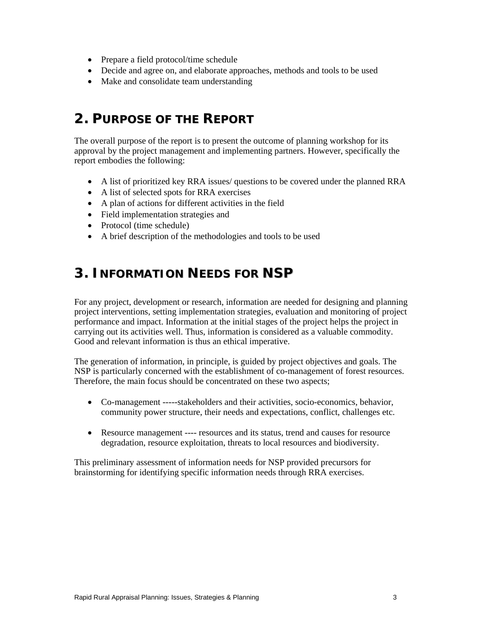- Prepare a field protocol/time schedule
- Decide and agree on, and elaborate approaches, methods and tools to be used
- Make and consolidate team understanding

# **2. PURPOSE OF THE REPORT**

The overall purpose of the report is to present the outcome of planning workshop for its approval by the project management and implementing partners. However, specifically the report embodies the following:

- A list of prioritized key RRA issues/ questions to be covered under the planned RRA
- A list of selected spots for RRA exercises
- A plan of actions for different activities in the field
- Field implementation strategies and
- Protocol (time schedule)
- A brief description of the methodologies and tools to be used

# **3. INFORMATION NEEDS FOR NSP**

For any project, development or research, information are needed for designing and planning project interventions, setting implementation strategies, evaluation and monitoring of project performance and impact. Information at the initial stages of the project helps the project in carrying out its activities well. Thus, information is considered as a valuable commodity. Good and relevant information is thus an ethical imperative.

The generation of information, in principle, is guided by project objectives and goals. The NSP is particularly concerned with the establishment of co-management of forest resources. Therefore, the main focus should be concentrated on these two aspects;

- Co-management -----stakeholders and their activities, socio-economics, behavior, community power structure, their needs and expectations, conflict, challenges etc.
- Resource management ---- resources and its status, trend and causes for resource degradation, resource exploitation, threats to local resources and biodiversity.

This preliminary assessment of information needs for NSP provided precursors for brainstorming for identifying specific information needs through RRA exercises.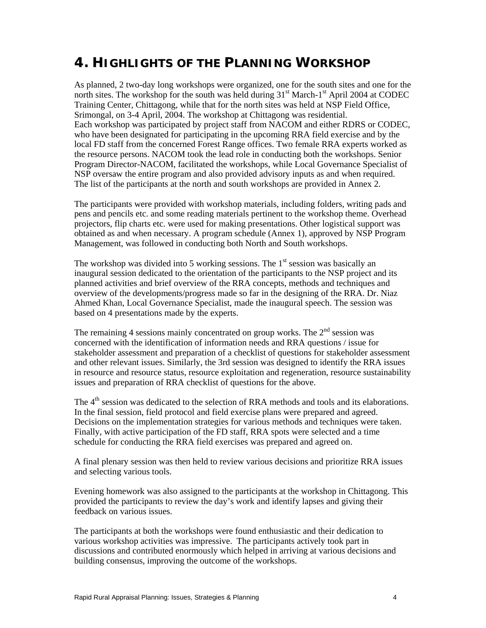# **4. HIGHLIGHTS OF THE PLANNING WORKSHOP**

As planned, 2 two-day long workshops were organized, one for the south sites and one for the north sites. The workshop for the south was held during  $31<sup>st</sup>$  March-1<sup>st</sup> April 2004 at CODEC Training Center, Chittagong, while that for the north sites was held at NSP Field Office, Srimongal, on 3-4 April, 2004. The workshop at Chittagong was residential. Each workshop was participated by project staff from NACOM and either RDRS or CODEC, who have been designated for participating in the upcoming RRA field exercise and by the local FD staff from the concerned Forest Range offices. Two female RRA experts worked as the resource persons. NACOM took the lead role in conducting both the workshops. Senior Program Director-NACOM, facilitated the workshops, while Local Governance Specialist of NSP oversaw the entire program and also provided advisory inputs as and when required. The list of the participants at the north and south workshops are provided in Annex 2.

The participants were provided with workshop materials, including folders, writing pads and pens and pencils etc. and some reading materials pertinent to the workshop theme. Overhead projectors, flip charts etc. were used for making presentations. Other logistical support was obtained as and when necessary. A program schedule (Annex 1), approved by NSP Program Management, was followed in conducting both North and South workshops.

The workshop was divided into 5 working sessions. The  $1<sup>st</sup>$  session was basically an inaugural session dedicated to the orientation of the participants to the NSP project and its planned activities and brief overview of the RRA concepts, methods and techniques and overview of the developments/progress made so far in the designing of the RRA. Dr. Niaz Ahmed Khan, Local Governance Specialist, made the inaugural speech. The session was based on 4 presentations made by the experts.

The remaining 4 sessions mainly concentrated on group works. The  $2<sup>nd</sup>$  session was concerned with the identification of information needs and RRA questions / issue for stakeholder assessment and preparation of a checklist of questions for stakeholder assessment and other relevant issues. Similarly, the 3rd session was designed to identify the RRA issues in resource and resource status, resource exploitation and regeneration, resource sustainability issues and preparation of RRA checklist of questions for the above.

The 4<sup>th</sup> session was dedicated to the selection of RRA methods and tools and its elaborations. In the final session, field protocol and field exercise plans were prepared and agreed. Decisions on the implementation strategies for various methods and techniques were taken. Finally, with active participation of the FD staff, RRA spots were selected and a time schedule for conducting the RRA field exercises was prepared and agreed on.

A final plenary session was then held to review various decisions and prioritize RRA issues and selecting various tools.

Evening homework was also assigned to the participants at the workshop in Chittagong. This provided the participants to review the day's work and identify lapses and giving their feedback on various issues.

The participants at both the workshops were found enthusiastic and their dedication to various workshop activities was impressive. The participants actively took part in discussions and contributed enormously which helped in arriving at various decisions and building consensus, improving the outcome of the workshops.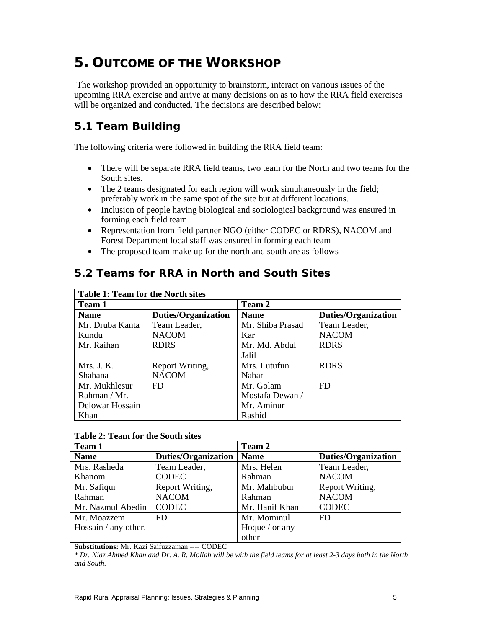# **5. OUTCOME OF THE WORKSHOP**

 The workshop provided an opportunity to brainstorm, interact on various issues of the upcoming RRA exercise and arrive at many decisions on as to how the RRA field exercises will be organized and conducted. The decisions are described below:

# **5.1 Team Building**

The following criteria were followed in building the RRA field team:

- There will be separate RRA field teams, two team for the North and two teams for the South sites.
- The 2 teams designated for each region will work simultaneously in the field; preferably work in the same spot of the site but at different locations.
- Inclusion of people having biological and sociological background was ensured in forming each field team
- Representation from field partner NGO (either CODEC or RDRS), NACOM and Forest Department local staff was ensured in forming each team
- The proposed team make up for the north and south are as follows

| <b>Table 1: Team for the North sites</b>  |                 |                  |                            |  |  |  |  |  |
|-------------------------------------------|-----------------|------------------|----------------------------|--|--|--|--|--|
| Team 1                                    |                 | <b>Team 2</b>    |                            |  |  |  |  |  |
| <b>Duties/Organization</b><br><b>Name</b> |                 | <b>Name</b>      | <b>Duties/Organization</b> |  |  |  |  |  |
| Mr. Druba Kanta                           | Team Leader,    | Mr. Shiba Prasad | Team Leader,               |  |  |  |  |  |
| Kundu                                     | <b>NACOM</b>    | Kar              | <b>NACOM</b>               |  |  |  |  |  |
| Mr. Raihan                                | <b>RDRS</b>     | Mr. Md. Abdul    | <b>RDRS</b>                |  |  |  |  |  |
|                                           |                 | Jalil            |                            |  |  |  |  |  |
| Mrs. J. K.                                | Report Writing, | Mrs. Lutufun     | <b>RDRS</b>                |  |  |  |  |  |
| Shahana                                   | <b>NACOM</b>    | Nahar            |                            |  |  |  |  |  |
| Mr. Mukhlesur                             | FD.             | Mr. Golam        | FD                         |  |  |  |  |  |
| Rahman / Mr.                              |                 | Mostafa Dewan /  |                            |  |  |  |  |  |
| Delowar Hossain                           |                 | Mr. Aminur       |                            |  |  |  |  |  |
| Khan                                      |                 | Rashid           |                            |  |  |  |  |  |

## **5.2 Teams for RRA in North and South Sites**

| Table 2: Team for the South sites |                            |                       |                            |  |  |  |  |  |
|-----------------------------------|----------------------------|-----------------------|----------------------------|--|--|--|--|--|
| Team 1                            |                            | Team 2                |                            |  |  |  |  |  |
| <b>Name</b>                       | <b>Duties/Organization</b> | <b>Name</b>           | <b>Duties/Organization</b> |  |  |  |  |  |
| Mrs. Rasheda                      | Team Leader,               | Mrs. Helen            | Team Leader,               |  |  |  |  |  |
| Khanom                            | <b>CODEC</b>               | Rahman                | <b>NACOM</b>               |  |  |  |  |  |
| Mr. Safiqur                       | Report Writing,            | Mr. Mahbubur          | Report Writing,            |  |  |  |  |  |
| Rahman                            | <b>NACOM</b>               | Rahman                | <b>NACOM</b>               |  |  |  |  |  |
| Mr. Nazmul Abedin                 | <b>CODEC</b>               | Mr. Hanif Khan        | <b>CODEC</b>               |  |  |  |  |  |
| Mr. Moazzem                       | FD                         | Mr. Mominul           | FD                         |  |  |  |  |  |
| Hossain / any other.              |                            | Hoque $\prime$ or any |                            |  |  |  |  |  |
|                                   |                            | other                 |                            |  |  |  |  |  |

**Substitutions:** Mr. Kazi Saifuzzaman ---- CODEC

*\* Dr. Niaz Ahmed Khan and Dr. A. R. Mollah will be with the field teams for at least 2-3 days both in the North and South.*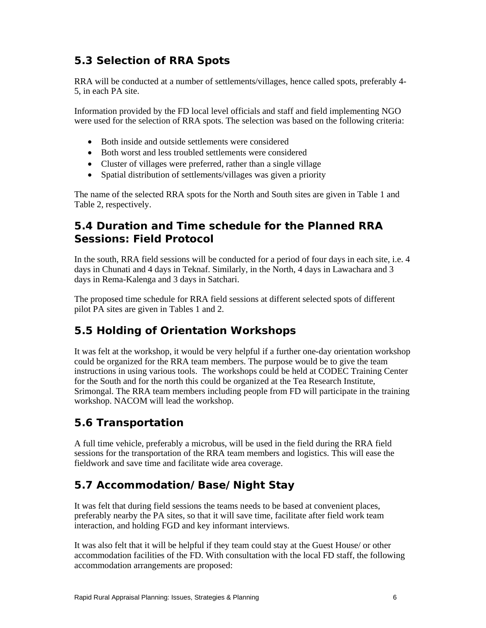# **5.3 Selection of RRA Spots**

RRA will be conducted at a number of settlements/villages, hence called spots, preferably 4- 5, in each PA site.

Information provided by the FD local level officials and staff and field implementing NGO were used for the selection of RRA spots. The selection was based on the following criteria:

- Both inside and outside settlements were considered
- Both worst and less troubled settlements were considered
- Cluster of villages were preferred, rather than a single village
- Spatial distribution of settlements/villages was given a priority

The name of the selected RRA spots for the North and South sites are given in Table 1 and Table 2, respectively.

# **5.4 Duration and Time schedule for the Planned RRA Sessions: Field Protocol**

In the south, RRA field sessions will be conducted for a period of four days in each site, i.e. 4 days in Chunati and 4 days in Teknaf. Similarly, in the North, 4 days in Lawachara and 3 days in Rema-Kalenga and 3 days in Satchari.

The proposed time schedule for RRA field sessions at different selected spots of different pilot PA sites are given in Tables 1 and 2.

# **5.5 Holding of Orientation Workshops**

It was felt at the workshop, it would be very helpful if a further one-day orientation workshop could be organized for the RRA team members. The purpose would be to give the team instructions in using various tools. The workshops could be held at CODEC Training Center for the South and for the north this could be organized at the Tea Research Institute, Srimongal. The RRA team members including people from FD will participate in the training workshop. NACOM will lead the workshop.

# **5.6 Transportation**

A full time vehicle, preferably a microbus, will be used in the field during the RRA field sessions for the transportation of the RRA team members and logistics. This will ease the fieldwork and save time and facilitate wide area coverage.

# **5.7 Accommodation/Base/Night Stay**

It was felt that during field sessions the teams needs to be based at convenient places, preferably nearby the PA sites, so that it will save time, facilitate after field work team interaction, and holding FGD and key informant interviews.

It was also felt that it will be helpful if they team could stay at the Guest House/ or other accommodation facilities of the FD. With consultation with the local FD staff, the following accommodation arrangements are proposed: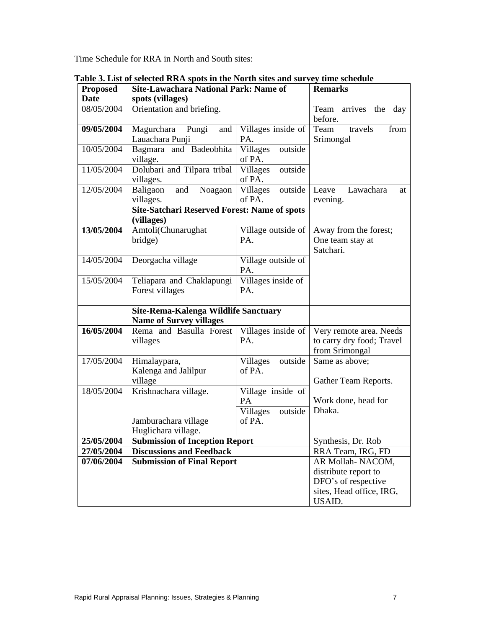Time Schedule for RRA in North and South sites:

| <b>Proposed</b>          | <b>Site-Lawachara National Park: Name of</b>                             | <b>Remarks</b>                                           |                                                                        |  |  |  |
|--------------------------|--------------------------------------------------------------------------|----------------------------------------------------------|------------------------------------------------------------------------|--|--|--|
| <b>Date</b>              | spots (villages)                                                         |                                                          |                                                                        |  |  |  |
| 08/05/2004               | Orientation and briefing.                                                |                                                          | Team<br>arrives<br>the day<br>before.                                  |  |  |  |
| 09/05/2004               | Magurchara<br>Pungi<br>and<br>Lauachara Punji                            | Villages inside of<br>PA.                                | Team<br>travels<br>from<br>Srimongal                                   |  |  |  |
| 10/05/2004               | Bagmara and Badeobhita<br>village.                                       | Villages<br>outside<br>of PA.                            |                                                                        |  |  |  |
| 11/05/2004               | Dolubari and Tilpara tribal<br>villages.                                 | outside<br>Villages<br>of PA.                            |                                                                        |  |  |  |
| 12/05/2004               | Baligaon<br>Noagaon<br>and<br>villages.                                  | Villages<br>outside<br>of PA.                            | Leave<br>Lawachara<br>at<br>evening.                                   |  |  |  |
|                          | <b>Site-Satchari Reserved Forest: Name of spots</b><br>(villages)        |                                                          |                                                                        |  |  |  |
| 13/05/2004               | Amtoli(Chunarughat<br>bridge)                                            | Village outside of<br>PA.                                | Away from the forest;<br>One team stay at<br>Satchari.                 |  |  |  |
| 14/05/2004               | Deorgacha village                                                        | Village outside of<br>PA.                                |                                                                        |  |  |  |
| 15/05/2004               | Teliapara and Chaklapungi<br>Forest villages                             | Villages inside of<br>PA.                                |                                                                        |  |  |  |
|                          | Site-Rema-Kalenga Wildlife Sanctuary<br><b>Name of Survey villages</b>   |                                                          |                                                                        |  |  |  |
| 16/05/2004               | Rema and Basulla Forest<br>villages                                      | Villages inside of<br>PA.                                | Very remote area. Needs<br>to carry dry food; Travel<br>from Srimongal |  |  |  |
| 17/05/2004               | Himalaypara,<br>Kalenga and Jalilpur<br>village                          | Villages<br>outside<br>of PA.                            | Same as above;<br>Gather Team Reports.                                 |  |  |  |
| 18/05/2004               | Krishnachara village.<br>Jamburachara village                            | Village inside of<br>PA<br>Villages<br>outside<br>of PA. | Work done, head for<br>Dhaka.                                          |  |  |  |
|                          | Huglichara village.                                                      |                                                          |                                                                        |  |  |  |
| 25/05/2004<br>27/05/2004 | <b>Submission of Inception Report</b><br><b>Discussions and Feedback</b> |                                                          | Synthesis, Dr. Rob<br>RRA Team, IRG, FD                                |  |  |  |
| 07/06/2004               | <b>Submission of Final Report</b>                                        |                                                          | AR Mollah-NACOM,                                                       |  |  |  |
|                          |                                                                          |                                                          | distribute report to                                                   |  |  |  |
|                          |                                                                          |                                                          | DFO's of respective                                                    |  |  |  |
|                          |                                                                          |                                                          | sites, Head office, IRG,                                               |  |  |  |
|                          |                                                                          |                                                          | USAID.                                                                 |  |  |  |

**Table 3. List of selected RRA spots in the North sites and survey time schedule**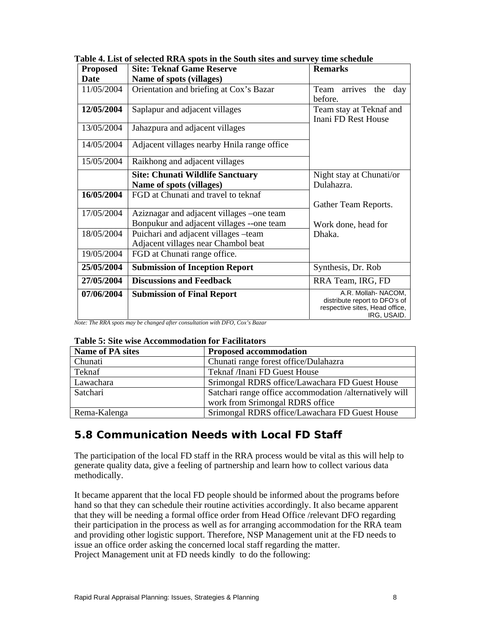| <b>Proposed</b> | <b>Site: Teknaf Game Reserve</b>                                                                    | <b>Remarks</b>                                                                                       |
|-----------------|-----------------------------------------------------------------------------------------------------|------------------------------------------------------------------------------------------------------|
| Date            | Name of spots (villages)                                                                            |                                                                                                      |
| 11/05/2004      | Orientation and briefing at Cox's Bazar                                                             | arrives<br>Team<br>the<br>day<br>before.                                                             |
| 12/05/2004      | Saplapur and adjacent villages                                                                      | Team stay at Teknaf and<br>Inani FD Rest House                                                       |
| 13/05/2004      | Jahazpura and adjacent villages                                                                     |                                                                                                      |
| 14/05/2004      | Adjacent villages nearby Hnila range office                                                         |                                                                                                      |
| 15/05/2004      | Raikhong and adjacent villages                                                                      |                                                                                                      |
|                 | <b>Site: Chunati Wildlife Sanctuary</b><br>Name of spots (villages)                                 | Night stay at Chunati/or<br>Dulahazra.                                                               |
| 16/05/2004      | FGD at Chunati and travel to teknaf                                                                 | Gather Team Reports.                                                                                 |
| 17/05/2004      | Aziznagar and adjacent villages – one team<br>Bonpukur and adjacent villages --one team             | Work done, head for                                                                                  |
| 18/05/2004      | Puichari and adjacent villages -team<br>Adjacent villages near Chambol beat                         | Dhaka.                                                                                               |
| 19/05/2004      | FGD at Chunati range office.                                                                        |                                                                                                      |
| 25/05/2004      | <b>Submission of Inception Report</b>                                                               | Synthesis, Dr. Rob                                                                                   |
| 27/05/2004      | <b>Discussions and Feedback</b>                                                                     | RRA Team, IRG, FD                                                                                    |
| 07/06/2004      | <b>Submission of Final Report</b><br>$\overline{u}$ pro $\overline{c}$<br>$\mathbf{r}$ $\mathbf{r}$ | A.R. Mollah-NACOM,<br>distribute report to DFO's of<br>respective sites, Head office,<br>IRG, USAID. |

**Table 4. List of selected RRA spots in the South sites and survey time schedule** 

*Note: The RRA spots may be changed after consultation with DFO, Cox's Bazar* 

### **Table 5: Site wise Accommodation for Facilitators**

| <b>Name of PA sites</b> | <b>Proposed accommodation</b>                           |
|-------------------------|---------------------------------------------------------|
| Chunati                 | Chunati range forest office/Dulahazra                   |
| Teknaf                  | Teknaf /Inani FD Guest House                            |
| Lawachara               | Srimongal RDRS office/Lawachara FD Guest House          |
| Satchari                | Satchari range office accommodation /alternatively will |
|                         | work from Srimongal RDRS office                         |
| Rema-Kalenga            | Srimongal RDRS office/Lawachara FD Guest House          |

## **5.8 Communication Needs with Local FD Staff**

The participation of the local FD staff in the RRA process would be vital as this will help to generate quality data, give a feeling of partnership and learn how to collect various data methodically.

It became apparent that the local FD people should be informed about the programs before hand so that they can schedule their routine activities accordingly. It also became apparent that they will be needing a formal office order from Head Office /relevant DFO regarding their participation in the process as well as for arranging accommodation for the RRA team and providing other logistic support. Therefore, NSP Management unit at the FD needs to issue an office order asking the concerned local staff regarding the matter. Project Management unit at FD needs kindly to do the following: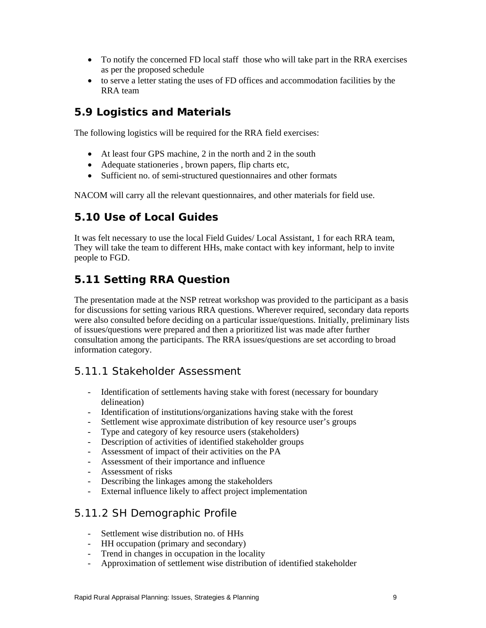- To notify the concerned FD local staff those who will take part in the RRA exercises as per the proposed schedule
- to serve a letter stating the uses of FD offices and accommodation facilities by the RRA team

## **5.9 Logistics and Materials**

The following logistics will be required for the RRA field exercises:

- At least four GPS machine, 2 in the north and 2 in the south
- Adequate stationeries, brown papers, flip charts etc,
- Sufficient no. of semi-structured questionnaires and other formats

NACOM will carry all the relevant questionnaires, and other materials for field use.

## **5.10 Use of Local Guides**

It was felt necessary to use the local Field Guides/ Local Assistant, 1 for each RRA team, They will take the team to different HHs, make contact with key informant, help to invite people to FGD.

## **5.11 Setting RRA Question**

The presentation made at the NSP retreat workshop was provided to the participant as a basis for discussions for setting various RRA questions. Wherever required, secondary data reports were also consulted before deciding on a particular issue/questions. Initially, preliminary lists of issues/questions were prepared and then a prioritized list was made after further consultation among the participants. The RRA issues/questions are set according to broad information category.

### *5.11.1 Stakeholder Assessment*

- Identification of settlements having stake with forest (necessary for boundary delineation)
- Identification of institutions/organizations having stake with the forest
- Settlement wise approximate distribution of key resource user's groups
- Type and category of key resource users (stakeholders)
- Description of activities of identified stakeholder groups
- Assessment of impact of their activities on the PA
- Assessment of their importance and influence
- Assessment of risks
- Describing the linkages among the stakeholders
- External influence likely to affect project implementation

### *5.11.2 SH Demographic Profile*

- Settlement wise distribution no. of HHs
- HH occupation (primary and secondary)
- Trend in changes in occupation in the locality
- Approximation of settlement wise distribution of identified stakeholder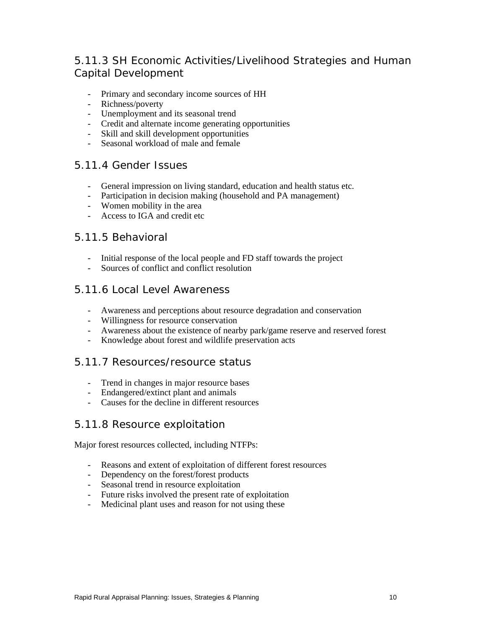# *5.11.3 SH Economic Activities/Livelihood Strategies and Human Capital Development*

- Primary and secondary income sources of HH
- Richness/poverty
- Unemployment and its seasonal trend
- Credit and alternate income generating opportunities
- Skill and skill development opportunities
- Seasonal workload of male and female

### *5.11.4 Gender Issues*

- General impression on living standard, education and health status etc.
- Participation in decision making (household and PA management)
- Women mobility in the area
- Access to IGA and credit etc

### *5.11.5 Behavioral*

- Initial response of the local people and FD staff towards the project
- Sources of conflict and conflict resolution

### *5.11.6 Local Level Awareness*

- Awareness and perceptions about resource degradation and conservation
- Willingness for resource conservation
- Awareness about the existence of nearby park/game reserve and reserved forest
- Knowledge about forest and wildlife preservation acts

### *5.11.7 Resources/resource status*

- Trend in changes in major resource bases
- Endangered/extinct plant and animals
- Causes for the decline in different resources

### *5.11.8 Resource exploitation*

Major forest resources collected, including NTFPs:

- Reasons and extent of exploitation of different forest resources
- Dependency on the forest/forest products
- Seasonal trend in resource exploitation
- Future risks involved the present rate of exploitation
- Medicinal plant uses and reason for not using these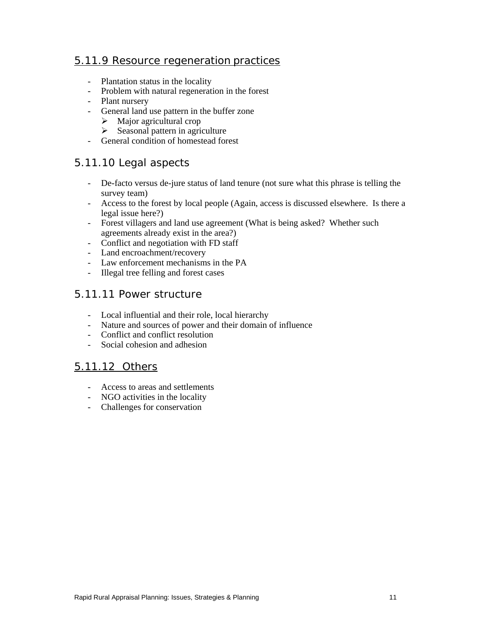### *5.11.9 Resource regeneration practices*

- Plantation status in the locality
- Problem with natural regeneration in the forest
- Plant nursery
- General land use pattern in the buffer zone
	- $\triangleright$  Major agricultural crop
	- $\triangleright$  Seasonal pattern in agriculture
- General condition of homestead forest

### *5.11.10 Legal aspects*

- De-facto versus de-jure status of land tenure (not sure what this phrase is telling the survey team)
- Access to the forest by local people (Again, access is discussed elsewhere. Is there a legal issue here?)
- Forest villagers and land use agreement (What is being asked? Whether such agreements already exist in the area?)
- Conflict and negotiation with FD staff
- Land encroachment/recovery
- Law enforcement mechanisms in the PA
- Illegal tree felling and forest cases

### *5.11.11 Power structure*

- Local influential and their role, local hierarchy
- Nature and sources of power and their domain of influence
- Conflict and conflict resolution
- Social cohesion and adhesion

### *5.11.12 Others*

- Access to areas and settlements
- NGO activities in the locality
- Challenges for conservation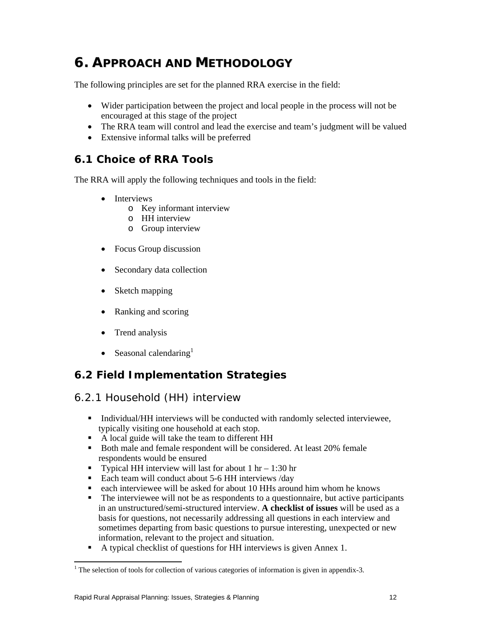# **6. APPROACH AND METHODOLOGY**

The following principles are set for the planned RRA exercise in the field:

- Wider participation between the project and local people in the process will not be encouraged at this stage of the project
- The RRA team will control and lead the exercise and team's judgment will be valued
- Extensive informal talks will be preferred

### **6.1 Choice of RRA Tools**

The RRA will apply the following techniques and tools in the field:

- **Interviews** 
	- o Key informant interview
	- o HH interview
	- o Group interview
- Focus Group discussion
- Secondary data collection
- Sketch mapping
- Ranking and scoring
- Trend analysis
- Seasonal calendaring $<sup>1</sup>$ </sup>

## **6.2 Field Implementation Strategies**

### *6.2.1 Household (HH) interview*

- Individual/HH interviews will be conducted with randomly selected interviewee, typically visiting one household at each stop.
- A local guide will take the team to different HH
- Both male and female respondent will be considered. At least 20% female respondents would be ensured
- Typical HH interview will last for about  $1 \text{ hr} 1:30 \text{ hr}$
- Each team will conduct about 5-6 HH interviews /day
- each interviewee will be asked for about 10 HHs around him whom he knows
- The interviewee will not be as respondents to a questionnaire, but active participants in an unstructured/semi-structured interview. **A checklist of issues** will be used as a basis for questions, not necessarily addressing all questions in each interview and sometimes departing from basic questions to pursue interesting, unexpected or new information, relevant to the project and situation.
- A typical checklist of questions for HH interviews is given Annex 1.

 $\overline{a}$ 

 $<sup>1</sup>$  The selection of tools for collection of various categories of information is given in appendix-3.</sup>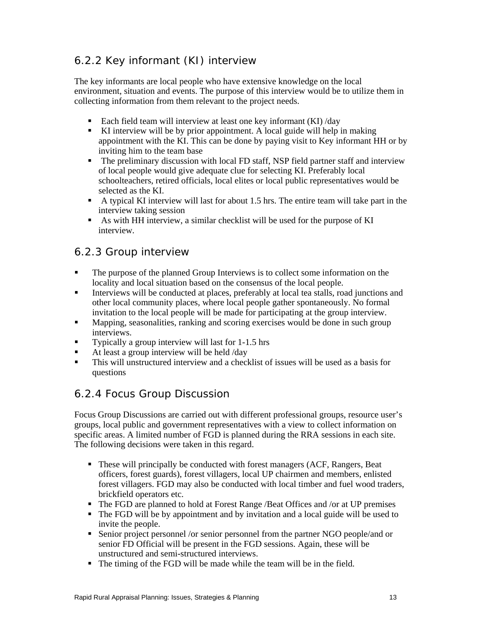# *6.2.2 Key informant (KI) interview*

The key informants are local people who have extensive knowledge on the local environment, situation and events. The purpose of this interview would be to utilize them in collecting information from them relevant to the project needs.

- Each field team will interview at least one key informant  $(KI)$  /day
- KI interview will be by prior appointment. A local guide will help in making appointment with the KI. This can be done by paying visit to Key informant HH or by inviting him to the team base
- The preliminary discussion with local FD staff, NSP field partner staff and interview of local people would give adequate clue for selecting KI. Preferably local schoolteachers, retired officials, local elites or local public representatives would be selected as the KI.
- A typical KI interview will last for about 1.5 hrs. The entire team will take part in the interview taking session
- As with HH interview, a similar checklist will be used for the purpose of KI interview.

### *6.2.3 Group interview*

- The purpose of the planned Group Interviews is to collect some information on the locality and local situation based on the consensus of the local people.
- Interviews will be conducted at places, preferably at local tea stalls, road junctions and other local community places, where local people gather spontaneously. No formal invitation to the local people will be made for participating at the group interview.
- Mapping, seasonalities, ranking and scoring exercises would be done in such group interviews.
- Typically a group interview will last for 1-1.5 hrs
- At least a group interview will be held /day
- This will unstructured interview and a checklist of issues will be used as a basis for questions

## *6.2.4 Focus Group Discussion*

Focus Group Discussions are carried out with different professional groups, resource user's groups, local public and government representatives with a view to collect information on specific areas. A limited number of FGD is planned during the RRA sessions in each site. The following decisions were taken in this regard.

- These will principally be conducted with forest managers (ACF, Rangers, Beat officers, forest guards), forest villagers, local UP chairmen and members, enlisted forest villagers. FGD may also be conducted with local timber and fuel wood traders, brickfield operators etc.
- The FGD are planned to hold at Forest Range /Beat Offices and /or at UP premises
- The FGD will be by appointment and by invitation and a local guide will be used to invite the people.
- Senior project personnel /or senior personnel from the partner NGO people/and or senior FD Official will be present in the FGD sessions. Again, these will be unstructured and semi-structured interviews.
- The timing of the FGD will be made while the team will be in the field.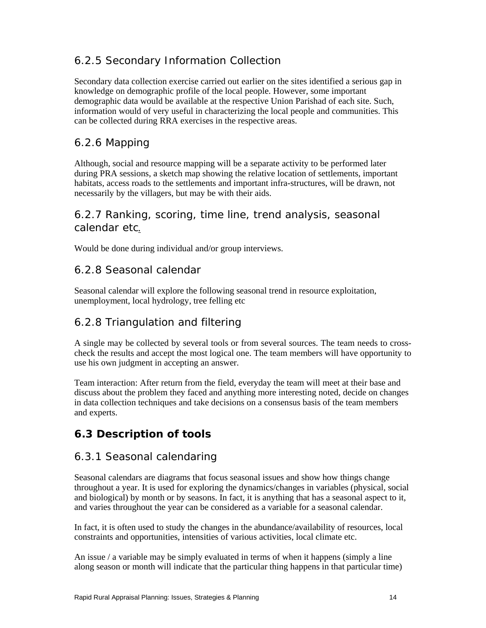## *6.2.5 Secondary Information Collection*

Secondary data collection exercise carried out earlier on the sites identified a serious gap in knowledge on demographic profile of the local people. However, some important demographic data would be available at the respective Union Parishad of each site. Such, information would of very useful in characterizing the local people and communities. This can be collected during RRA exercises in the respective areas.

## *6.2.6 Mapping*

Although, social and resource mapping will be a separate activity to be performed later during PRA sessions, a sketch map showing the relative location of settlements, important habitats, access roads to the settlements and important infra-structures, will be drawn, not necessarily by the villagers, but may be with their aids.

### *6.2.7 Ranking, scoring, time line, trend analysis, seasonal calendar etc.*

Would be done during individual and/or group interviews.

### *6.2.8 Seasonal calendar*

Seasonal calendar will explore the following seasonal trend in resource exploitation, unemployment, local hydrology, tree felling etc

## *6.2.8 Triangulation and filtering*

A single may be collected by several tools or from several sources. The team needs to crosscheck the results and accept the most logical one. The team members will have opportunity to use his own judgment in accepting an answer.

Team interaction: After return from the field, everyday the team will meet at their base and discuss about the problem they faced and anything more interesting noted, decide on changes in data collection techniques and take decisions on a consensus basis of the team members and experts.

# **6.3 Description of tools**

### *6.3.1 Seasonal calendaring*

Seasonal calendars are diagrams that focus seasonal issues and show how things change throughout a year. It is used for exploring the dynamics/changes in variables (physical, social and biological) by month or by seasons. In fact, it is anything that has a seasonal aspect to it, and varies throughout the year can be considered as a variable for a seasonal calendar.

In fact, it is often used to study the changes in the abundance/availability of resources, local constraints and opportunities, intensities of various activities, local climate etc.

An issue / a variable may be simply evaluated in terms of when it happens (simply a line along season or month will indicate that the particular thing happens in that particular time)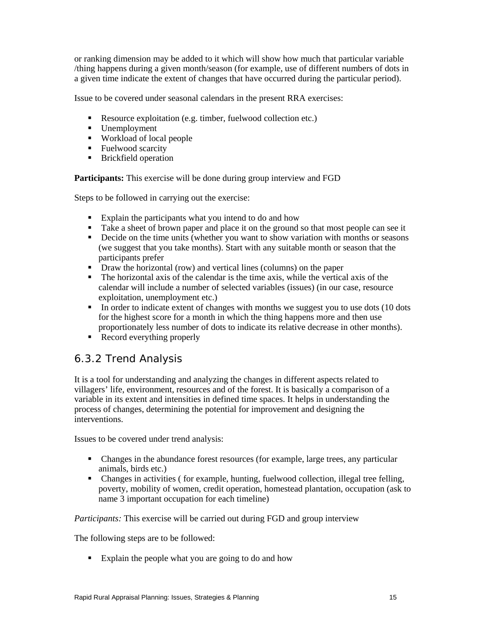or ranking dimension may be added to it which will show how much that particular variable /thing happens during a given month/season (for example, use of different numbers of dots in a given time indicate the extent of changes that have occurred during the particular period).

Issue to be covered under seasonal calendars in the present RRA exercises:

- Resource exploitation (e.g. timber, fuelwood collection etc.)
- **Unemployment**
- Workload of local people
- Fuelwood scarcity
- **Brickfield operation**

**Participants:** This exercise will be done during group interview and FGD

Steps to be followed in carrying out the exercise:

- Explain the participants what you intend to do and how
- Take a sheet of brown paper and place it on the ground so that most people can see it
- Decide on the time units (whether you want to show variation with months or seasons (we suggest that you take months). Start with any suitable month or season that the participants prefer
- **Draw the horizontal (row) and vertical lines (columns) on the paper**
- The horizontal axis of the calendar is the time axis, while the vertical axis of the calendar will include a number of selected variables (issues) (in our case, resource exploitation, unemployment etc.)
- $\blacksquare$  In order to indicate extent of changes with months we suggest you to use dots (10 dots for the highest score for a month in which the thing happens more and then use proportionately less number of dots to indicate its relative decrease in other months).
- Record everything properly

### *6.3.2 Trend Analysis*

It is a tool for understanding and analyzing the changes in different aspects related to villagers' life, environment, resources and of the forest. It is basically a comparison of a variable in its extent and intensities in defined time spaces. It helps in understanding the process of changes, determining the potential for improvement and designing the interventions.

Issues to be covered under trend analysis:

- Changes in the abundance forest resources (for example, large trees, any particular animals, birds etc.)
- Changes in activities ( for example, hunting, fuelwood collection, illegal tree felling, poverty, mobility of women, credit operation, homestead plantation, occupation (ask to name 3 important occupation for each timeline)

*Participants:* This exercise will be carried out during FGD and group interview

The following steps are to be followed:

Explain the people what you are going to do and how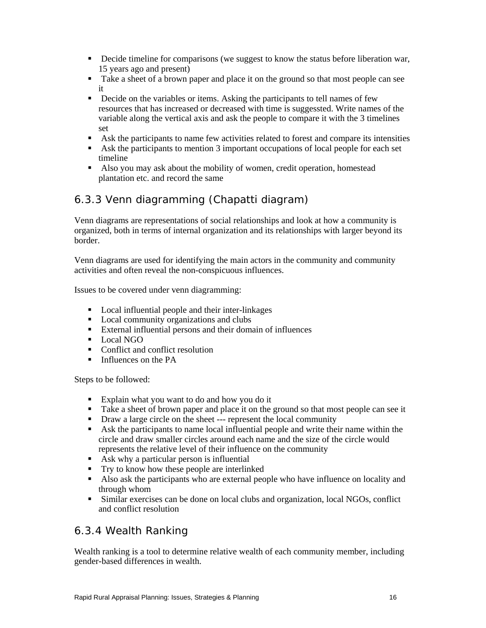- Decide timeline for comparisons (we suggest to know the status before liberation war, 15 years ago and present)
- Take a sheet of a brown paper and place it on the ground so that most people can see it
- Decide on the variables or items. Asking the participants to tell names of few resources that has increased or decreased with time is suggessted. Write names of the variable along the vertical axis and ask the people to compare it with the 3 timelines set
- Ask the participants to name few activities related to forest and compare its intensities
- Ask the participants to mention 3 important occupations of local people for each set timeline
- Also you may ask about the mobility of women, credit operation, homestead plantation etc. and record the same

# *6.3.3 Venn diagramming (Chapatti diagram)*

Venn diagrams are representations of social relationships and look at how a community is organized, both in terms of internal organization and its relationships with larger beyond its border.

Venn diagrams are used for identifying the main actors in the community and community activities and often reveal the non-conspicuous influences.

Issues to be covered under venn diagramming:

- Local influential people and their inter-linkages
- Local community organizations and clubs
- External influential persons and their domain of influences
- **Local NGO**
- Conflict and conflict resolution
- **Influences on the PA**

Steps to be followed:

- Explain what you want to do and how you do it
- Take a sheet of brown paper and place it on the ground so that most people can see it
- Draw a large circle on the sheet --- represent the local community
- Ask the participants to name local influential people and write their name within the circle and draw smaller circles around each name and the size of the circle would represents the relative level of their influence on the community
- Ask why a particular person is influential
- **Try to know how these people are interlinked**
- Also ask the participants who are external people who have influence on locality and through whom
- Similar exercises can be done on local clubs and organization, local NGOs, conflict and conflict resolution

### *6.3.4 Wealth Ranking*

Wealth ranking is a tool to determine relative wealth of each community member, including gender-based differences in wealth.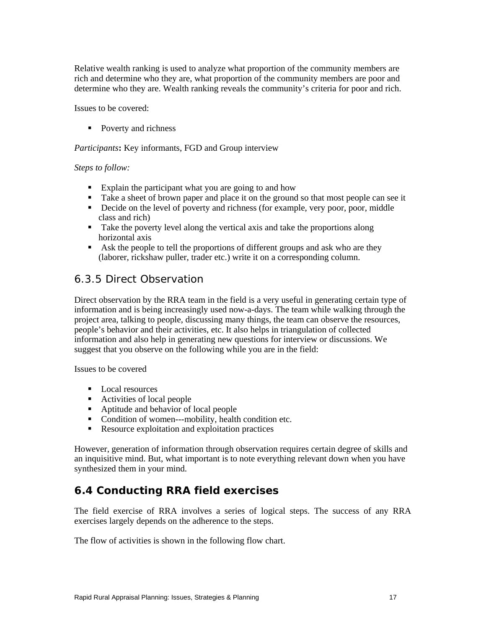Relative wealth ranking is used to analyze what proportion of the community members are rich and determine who they are, what proportion of the community members are poor and determine who they are. Wealth ranking reveals the community's criteria for poor and rich.

Issues to be covered:

• Poverty and richness

*Participants***:** Key informants, FGD and Group interview

### *Steps to follow:*

- Explain the participant what you are going to and how
- Take a sheet of brown paper and place it on the ground so that most people can see it
- Decide on the level of poverty and richness (for example, very poor, poor, middle class and rich)
- Take the poverty level along the vertical axis and take the proportions along horizontal axis
- Ask the people to tell the proportions of different groups and ask who are they (laborer, rickshaw puller, trader etc.) write it on a corresponding column.

### *6.3.5 Direct Observation*

Direct observation by the RRA team in the field is a very useful in generating certain type of information and is being increasingly used now-a-days. The team while walking through the project area, talking to people, discussing many things, the team can observe the resources, people's behavior and their activities, etc. It also helps in triangulation of collected information and also help in generating new questions for interview or discussions. We suggest that you observe on the following while you are in the field:

Issues to be covered

- Local resources
- Activities of local people
- Aptitude and behavior of local people
- Condition of women---mobility, health condition etc.
- Resource exploitation and exploitation practices

However, generation of information through observation requires certain degree of skills and an inquisitive mind. But, what important is to note everything relevant down when you have synthesized them in your mind.

# **6.4 Conducting RRA field exercises**

The field exercise of RRA involves a series of logical steps. The success of any RRA exercises largely depends on the adherence to the steps.

The flow of activities is shown in the following flow chart.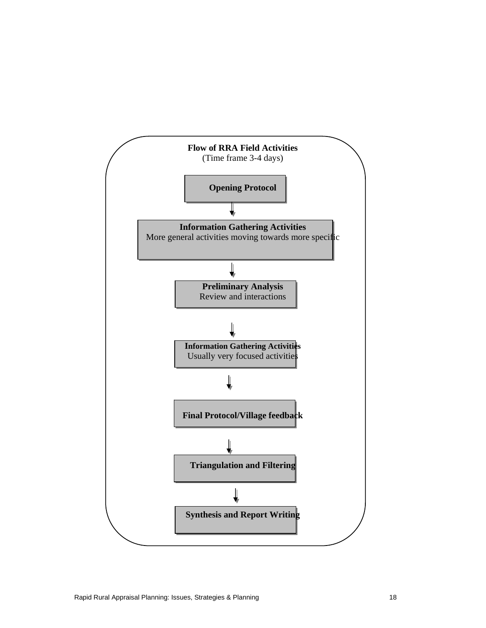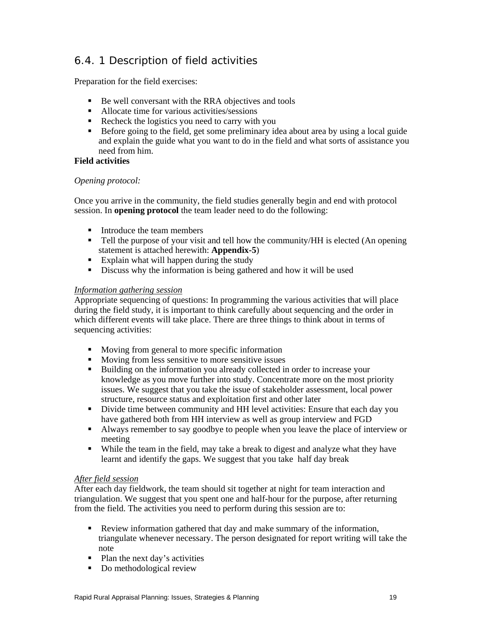# *6.4. 1 Description of field activities*

Preparation for the field exercises:

- Be well conversant with the RRA objectives and tools
- Allocate time for various activities/sessions
- Recheck the logistics you need to carry with you
- Before going to the field, get some preliminary idea about area by using a local guide and explain the guide what you want to do in the field and what sorts of assistance you need from him.

### **Field activities**

### *Opening protocol:*

Once you arrive in the community, the field studies generally begin and end with protocol session. In **opening protocol** the team leader need to do the following:

- Introduce the team members
- Tell the purpose of your visit and tell how the community/HH is elected (An opening statement is attached herewith: **Appendix-5**)
- Explain what will happen during the study
- Discuss why the information is being gathered and how it will be used

### *Information gathering session*

Appropriate sequencing of questions: In programming the various activities that will place during the field study, it is important to think carefully about sequencing and the order in which different events will take place. There are three things to think about in terms of sequencing activities:

- Moving from general to more specific information
- **Moving from less sensitive to more sensitive issues**
- Building on the information you already collected in order to increase your knowledge as you move further into study. Concentrate more on the most priority issues. We suggest that you take the issue of stakeholder assessment, local power structure, resource status and exploitation first and other later
- Divide time between community and HH level activities: Ensure that each day you have gathered both from HH interview as well as group interview and FGD
- Always remember to say goodbye to people when you leave the place of interview or meeting
- While the team in the field, may take a break to digest and analyze what they have learnt and identify the gaps. We suggest that you take half day break

### *After field session*

After each day fieldwork, the team should sit together at night for team interaction and triangulation. We suggest that you spent one and half-hour for the purpose, after returning from the field. The activities you need to perform during this session are to:

- Review information gathered that day and make summary of the information, triangulate whenever necessary. The person designated for report writing will take the note
- Plan the next day's activities
- Do methodological review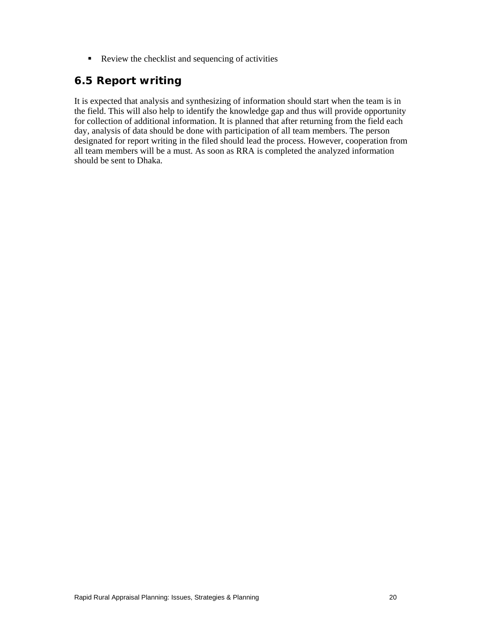Review the checklist and sequencing of activities

## **6.5 Report writing**

It is expected that analysis and synthesizing of information should start when the team is in the field. This will also help to identify the knowledge gap and thus will provide opportunity for collection of additional information. It is planned that after returning from the field each day, analysis of data should be done with participation of all team members. The person designated for report writing in the filed should lead the process. However, cooperation from all team members will be a must. As soon as RRA is completed the analyzed information should be sent to Dhaka.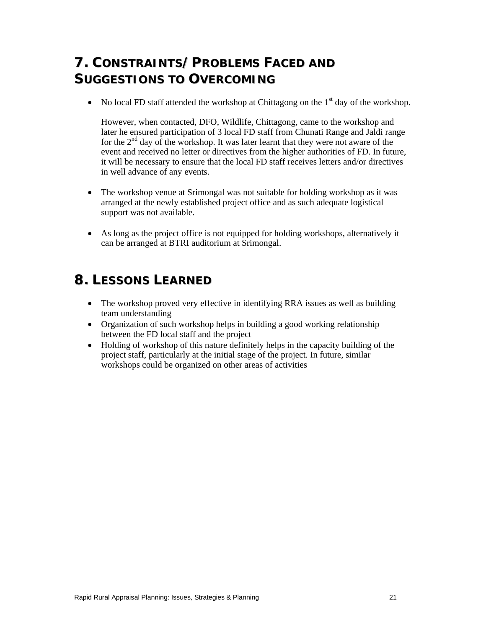# **7. CONSTRAINTS/PROBLEMS FACED AND SUGGESTIONS TO OVERCOMING**

• No local FD staff attended the workshop at Chittagong on the  $1<sup>st</sup>$  day of the workshop.

However, when contacted, DFO, Wildlife, Chittagong, came to the workshop and later he ensured participation of 3 local FD staff from Chunati Range and Jaldi range for the  $2<sup>nd</sup>$  day of the workshop. It was later learnt that they were not aware of the event and received no letter or directives from the higher authorities of FD. In future, it will be necessary to ensure that the local FD staff receives letters and/or directives in well advance of any events.

- The workshop venue at Srimongal was not suitable for holding workshop as it was arranged at the newly established project office and as such adequate logistical support was not available.
- As long as the project office is not equipped for holding workshops, alternatively it can be arranged at BTRI auditorium at Srimongal.

# **8. LESSONS LEARNED**

- The workshop proved very effective in identifying RRA issues as well as building team understanding
- Organization of such workshop helps in building a good working relationship between the FD local staff and the project
- Holding of workshop of this nature definitely helps in the capacity building of the project staff, particularly at the initial stage of the project. In future, similar workshops could be organized on other areas of activities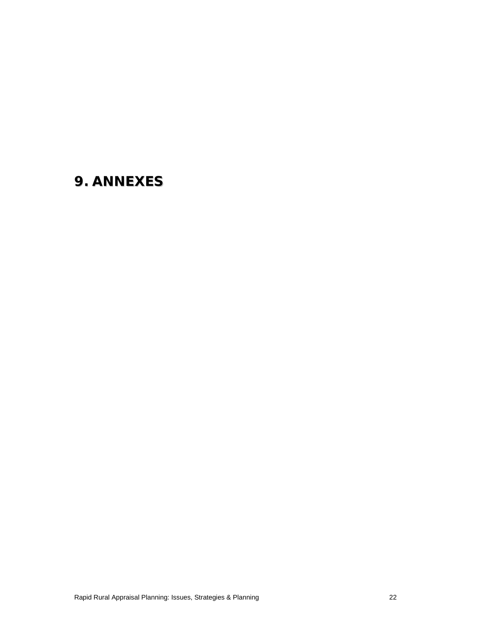# **9. ANNEXES**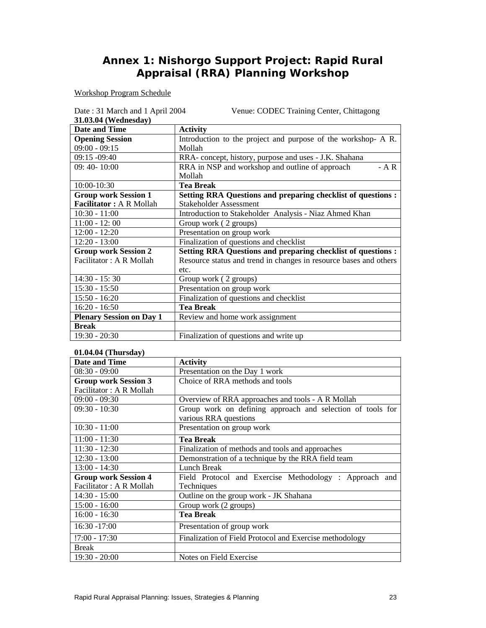# **Annex 1: Nishorgo Support Project: Rapid Rural Appraisal (RRA) Planning Workshop**

Workshop Program Schedule

| Date: 31 March and 1 April 2004 | Venue: CODEC Training Center, Chittagong                            |
|---------------------------------|---------------------------------------------------------------------|
| 31.03.04 (Wednesday)            |                                                                     |
| <b>Date and Time</b>            | <b>Activity</b>                                                     |
| <b>Opening Session</b>          | Introduction to the project and purpose of the workshop- A R.       |
| $09:00 - 09:15$                 | Mollah                                                              |
| $09:15 - 09:40$                 | RRA-concept, history, purpose and uses - J.K. Shahana               |
| 09: 40-10:00                    | RRA in NSP and workshop and outline of approach<br>$- A R$          |
|                                 | Mollah                                                              |
| 10:00-10:30                     | <b>Tea Break</b>                                                    |
| <b>Group work Session 1</b>     | <b>Setting RRA Questions and preparing checklist of questions :</b> |
| <b>Facilitator: A R Mollah</b>  | Stakeholder Assessment                                              |
| $10:30 - 11:00$                 | Introduction to Stakeholder Analysis - Niaz Ahmed Khan              |
| $11:00 - 12:00$                 | Group work (2 groups)                                               |
| $12:00 - 12:20$                 | Presentation on group work                                          |
| $12:20 - 13:00$                 | Finalization of questions and checklist                             |
| <b>Group work Session 2</b>     | <b>Setting RRA Questions and preparing checklist of questions:</b>  |
| Facilitator: A R Mollah         | Resource status and trend in changes in resource bases and others   |
|                                 | etc.                                                                |
| $14:30 - 15:30$                 | Group work (2 groups)                                               |
| $15:30 - 15:50$                 | Presentation on group work                                          |
| $15:50 - 16:20$                 | Finalization of questions and checklist                             |
| $16:20 - 16:50$                 | <b>Tea Break</b>                                                    |
| <b>Plenary Session on Day 1</b> | Review and home work assignment                                     |
| <b>Break</b>                    |                                                                     |
| $19:30 - 20:30$                 | Finalization of questions and write up                              |

### **01.04.04 (Thursday)**

| Date and Time               | <b>Activity</b>                                            |
|-----------------------------|------------------------------------------------------------|
| $08:30 - 09:00$             | Presentation on the Day 1 work                             |
| <b>Group work Session 3</b> | Choice of RRA methods and tools                            |
| Facilitator: A R Mollah     |                                                            |
| $09:00 - 09:30$             | Overview of RRA approaches and tools - A R Mollah          |
| $09:30 - 10:30$             | Group work on defining approach and selection of tools for |
|                             | various RRA questions                                      |
| $10:30 - 11:00$             | Presentation on group work                                 |
| $11:00 - 11:30$             | <b>Tea Break</b>                                           |
| $11:30 - 12:30$             | Finalization of methods and tools and approaches           |
| $12:30 - 13:00$             | Demonstration of a technique by the RRA field team         |
| $13:00 - 14:30$             | Lunch Break                                                |
| <b>Group work Session 4</b> | Field Protocol and Exercise Methodology : Approach and     |
| Facilitator: A R Mollah     | <b>Techniques</b>                                          |
| $14:30 - 15:00$             | Outline on the group work - JK Shahana                     |
| $15:00 - 16:00$             | Group work (2 groups)                                      |
| $16:00 - 16:30$             | <b>Tea Break</b>                                           |
| $16:30 - 17:00$             | Presentation of group work                                 |
| $!7:00 - 17:30$             | Finalization of Field Protocol and Exercise methodology    |
| <b>Break</b>                |                                                            |
| $19:30 - 20:00$             | Notes on Field Exercise                                    |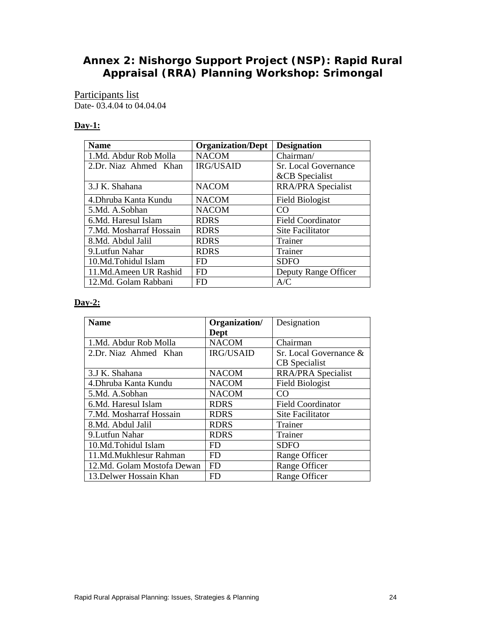## **Annex 2: Nishorgo Support Project (NSP): Rapid Rural Appraisal (RRA) Planning Workshop: Srimongal**

### Participants list Date- 03.4.04 to 04.04.04

### **Day-1:**

| <b>Name</b>             | <b>Organization/Dept</b> | <b>Designation</b>       |  |  |
|-------------------------|--------------------------|--------------------------|--|--|
| 1.Md. Abdur Rob Molla   | <b>NACOM</b>             | Chairman/                |  |  |
| 2.Dr. Niaz Ahmed Khan   | <b>IRG/USAID</b>         | Sr. Local Governance     |  |  |
|                         |                          | &CB Specialist           |  |  |
| 3.J K. Shahana          | <b>NACOM</b>             | RRA/PRA Specialist       |  |  |
| 4. Dhruba Kanta Kundu   | <b>NACOM</b>             | <b>Field Biologist</b>   |  |  |
| 5.Md. A.Sobhan          | <b>NACOM</b>             | CO.                      |  |  |
| 6.Md. Haresul Islam     | <b>RDRS</b>              | <b>Field Coordinator</b> |  |  |
| 7.Md. Mosharraf Hossain | <b>RDRS</b>              | <b>Site Facilitator</b>  |  |  |
| 8.Md. Abdul Jalil       | <b>RDRS</b>              | Trainer                  |  |  |
| 9. Lutfun Nahar         | <b>RDRS</b>              | Trainer                  |  |  |
| 10.Md.Tohidul Islam     | FD.                      | <b>SDFO</b>              |  |  |
| 11.Md.Ameen UR Rashid   | <b>FD</b>                | Deputy Range Officer     |  |  |
| 12.Md. Golam Rabbani    | FD.                      | A/C                      |  |  |

### **Day-2:**

| <b>Name</b>                | Organization/<br>Dept | Designation               |
|----------------------------|-----------------------|---------------------------|
| 1.Md. Abdur Rob Molla      | <b>NACOM</b>          | Chairman                  |
| 2.Dr. Niaz Ahmed Khan      | <b>IRG/USAID</b>      | Sr. Local Governance &    |
|                            |                       | <b>CB</b> Specialist      |
| 3.J K. Shahana             | <b>NACOM</b>          | <b>RRA/PRA Specialist</b> |
| 4.Dhruba Kanta Kundu       | <b>NACOM</b>          | <b>Field Biologist</b>    |
| 5.Md. A.Sobhan             | <b>NACOM</b>          | CO                        |
| 6.Md. Haresul Islam        | <b>RDRS</b>           | <b>Field Coordinator</b>  |
| 7.Md. Mosharraf Hossain    | <b>RDRS</b>           | Site Facilitator          |
| 8.Md. Abdul Jalil          | <b>RDRS</b>           | Trainer                   |
| 9. Lutfun Nahar            | <b>RDRS</b>           | Trainer                   |
| 10.Md.Tohidul Islam        | FD                    | <b>SDFO</b>               |
| 11.Md.Mukhlesur Rahman     | <b>FD</b>             | Range Officer             |
| 12.Md. Golam Mostofa Dewan | <b>FD</b>             | Range Officer             |
| 13. Delwer Hossain Khan    | FD                    | Range Officer             |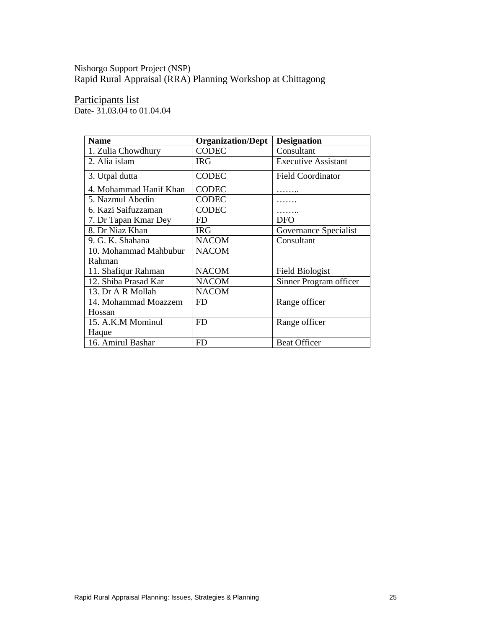### Nishorgo Support Project (NSP) Rapid Rural Appraisal (RRA) Planning Workshop at Chittagong

Participants list

Date- 31.03.04 to 01.04.04

| <b>Name</b>            | <b>Organization/Dept</b> | <b>Designation</b>         |
|------------------------|--------------------------|----------------------------|
| 1. Zulia Chowdhury     | <b>CODEC</b>             | Consultant                 |
| 2. Alia islam          | <b>IRG</b>               | <b>Executive Assistant</b> |
| 3. Utpal dutta         | <b>CODEC</b>             | <b>Field Coordinator</b>   |
| 4. Mohammad Hanif Khan | <b>CODEC</b>             |                            |
| 5. Nazmul Abedin       | <b>CODEC</b>             |                            |
| 6. Kazi Saifuzzaman    | <b>CODEC</b>             |                            |
| 7. Dr Tapan Kmar Dey   | FD.                      | DFO                        |
| 8. Dr Niaz Khan        | <b>IRG</b>               | Governance Specialist      |
| 9. G. K. Shahana       | <b>NACOM</b>             | Consultant                 |
| 10. Mohammad Mahbubur  | <b>NACOM</b>             |                            |
| Rahman                 |                          |                            |
| 11. Shafiqur Rahman    | <b>NACOM</b>             | <b>Field Biologist</b>     |
| 12. Shiba Prasad Kar   | <b>NACOM</b>             | Sinner Program officer     |
| 13. Dr A R Mollah      | <b>NACOM</b>             |                            |
| 14. Mohammad Moazzem   | <b>FD</b>                | Range officer              |
| Hossan                 |                          |                            |
| 15. A.K.M Mominul      | <b>FD</b>                | Range officer              |
| Haque                  |                          |                            |
| 16. Amirul Bashar      | FD.                      | <b>Beat Officer</b>        |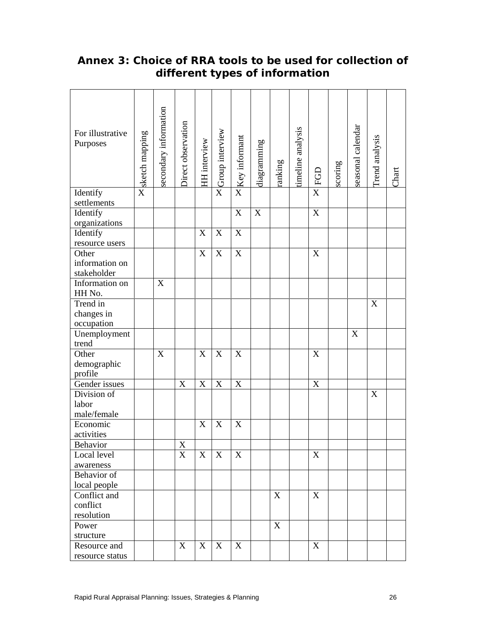| For illustrative<br>Purposes                           | × sketch mapping | secondary information | Direct observation | HH interview | XCroup interview          | X Key informant | diagramming | ranking | timeline analysis | EGD            | scoring | seasonal calendar | Trend analysis            | Chart |
|--------------------------------------------------------|------------------|-----------------------|--------------------|--------------|---------------------------|-----------------|-------------|---------|-------------------|----------------|---------|-------------------|---------------------------|-------|
| Identify<br>settlements                                |                  |                       |                    |              |                           |                 |             |         |                   | $\overline{X}$ |         |                   |                           |       |
| Identify<br>organizations                              |                  |                       |                    |              |                           | $\mathbf X$     | $\mathbf X$ |         |                   | X              |         |                   |                           |       |
| Identify<br>resource users                             |                  |                       |                    | X            | X                         | $\mathbf X$     |             |         |                   |                |         |                   |                           |       |
| Other<br>information on<br>stakeholder                 |                  |                       |                    | X            | $\boldsymbol{\mathrm{X}}$ | $\mathbf X$     |             |         |                   | X              |         |                   |                           |       |
| Information on<br>HH No.                               |                  | X                     |                    |              |                           |                 |             |         |                   |                |         |                   |                           |       |
| Trend in<br>changes in<br>occupation                   |                  |                       |                    |              |                           |                 |             |         |                   |                |         |                   | X                         |       |
| Unemployment<br>trend                                  |                  |                       |                    |              |                           |                 |             |         |                   |                |         | X                 |                           |       |
| Other<br>demographic<br>profile                        |                  | X                     |                    | X            | $\boldsymbol{\mathrm{X}}$ | X               |             |         |                   | X              |         |                   |                           |       |
| Gender issues                                          |                  |                       | X                  | X            | X                         | X               |             |         |                   | X              |         |                   |                           |       |
| Division of<br>labor<br>male/female                    |                  |                       |                    |              |                           |                 |             |         |                   |                |         |                   | $\boldsymbol{\mathrm{X}}$ |       |
| Economic<br>activities                                 |                  |                       |                    | X            | X                         | X               |             |         |                   |                |         |                   |                           |       |
| Behavior                                               |                  |                       | X                  |              |                           |                 |             |         |                   |                |         |                   |                           |       |
| Local level<br>awareness                               |                  |                       | X                  | X            | X                         | X               |             |         |                   | X              |         |                   |                           |       |
| Behavior of                                            |                  |                       |                    |              |                           |                 |             |         |                   |                |         |                   |                           |       |
| local people<br>Conflict and<br>conflict<br>resolution |                  |                       |                    |              |                           |                 |             | X       |                   | X              |         |                   |                           |       |
| Power<br>structure                                     |                  |                       |                    |              |                           |                 |             | X       |                   |                |         |                   |                           |       |
| Resource and<br>resource status                        |                  |                       | X                  | X            | X                         | X               |             |         |                   | X              |         |                   |                           |       |

# **Annex 3: Choice of RRA tools to be used for collection of different types of information**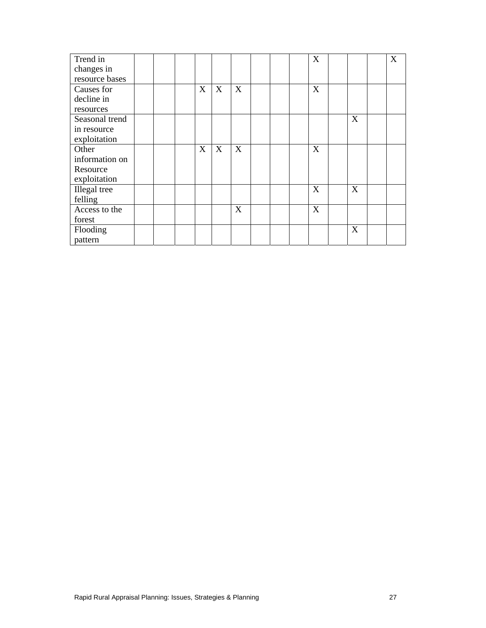| Trend in       |  |   |   |   |  | X |   | X |
|----------------|--|---|---|---|--|---|---|---|
| changes in     |  |   |   |   |  |   |   |   |
| resource bases |  |   |   |   |  |   |   |   |
|                |  |   |   |   |  |   |   |   |
| Causes for     |  | X | X | X |  | X |   |   |
| decline in     |  |   |   |   |  |   |   |   |
| resources      |  |   |   |   |  |   |   |   |
| Seasonal trend |  |   |   |   |  |   | X |   |
| in resource    |  |   |   |   |  |   |   |   |
| exploitation   |  |   |   |   |  |   |   |   |
| Other          |  | X | X | X |  | X |   |   |
| information on |  |   |   |   |  |   |   |   |
| Resource       |  |   |   |   |  |   |   |   |
| exploitation   |  |   |   |   |  |   |   |   |
| Illegal tree   |  |   |   |   |  | X | X |   |
| felling        |  |   |   |   |  |   |   |   |
| Access to the  |  |   |   | X |  | X |   |   |
| forest         |  |   |   |   |  |   |   |   |
| Flooding       |  |   |   |   |  |   | X |   |
| pattern        |  |   |   |   |  |   |   |   |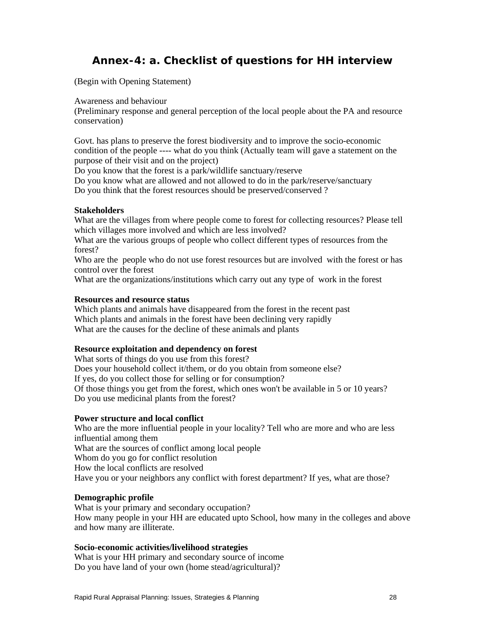# **Annex-4: a. Checklist of questions for HH interview**

(Begin with Opening Statement)

Awareness and behaviour

(Preliminary response and general perception of the local people about the PA and resource conservation)

Govt. has plans to preserve the forest biodiversity and to improve the socio-economic condition of the people ---- what do you think (Actually team will gave a statement on the purpose of their visit and on the project)

Do you know that the forest is a park/wildlife sanctuary/reserve

Do you know what are allowed and not allowed to do in the park/reserve/sanctuary Do you think that the forest resources should be preserved/conserved ?

### **Stakeholders**

What are the villages from where people come to forest for collecting resources? Please tell which villages more involved and which are less involved?

What are the various groups of people who collect different types of resources from the forest?

Who are the people who do not use forest resources but are involved with the forest or has control over the forest

What are the organizations/institutions which carry out any type of work in the forest

#### **Resources and resource status**

Which plants and animals have disappeared from the forest in the recent past Which plants and animals in the forest have been declining very rapidly What are the causes for the decline of these animals and plants

### **Resource exploitation and dependency on forest**

What sorts of things do you use from this forest? Does your household collect it/them, or do you obtain from someone else? If yes, do you collect those for selling or for consumption? Of those things you get from the forest, which ones won't be available in 5 or 10 years? Do you use medicinal plants from the forest?

### **Power structure and local conflict**

Who are the more influential people in your locality? Tell who are more and who are less influential among them What are the sources of conflict among local people Whom do you go for conflict resolution How the local conflicts are resolved Have you or your neighbors any conflict with forest department? If yes, what are those?

### **Demographic profile**

What is your primary and secondary occupation? How many people in your HH are educated upto School, how many in the colleges and above and how many are illiterate.

#### **Socio-economic activities/livelihood strategies**

What is your HH primary and secondary source of income Do you have land of your own (home stead/agricultural)?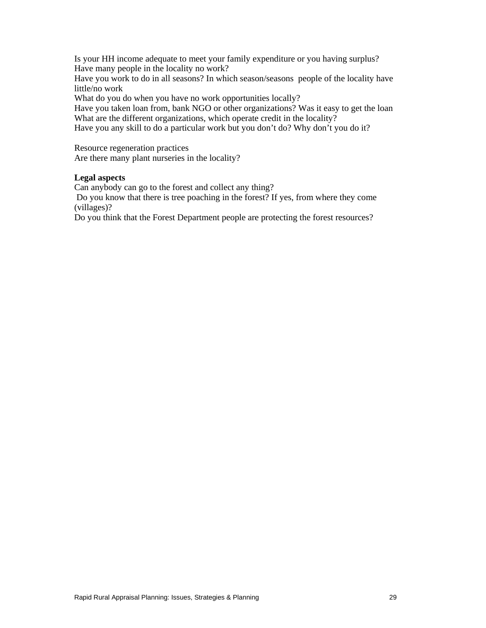Is your HH income adequate to meet your family expenditure or you having surplus? Have many people in the locality no work?

Have you work to do in all seasons? In which season/seasons people of the locality have little/no work

What do you do when you have no work opportunities locally?

Have you taken loan from, bank NGO or other organizations? Was it easy to get the loan What are the different organizations, which operate credit in the locality?

Have you any skill to do a particular work but you don't do? Why don't you do it?

Resource regeneration practices

Are there many plant nurseries in the locality?

#### **Legal aspects**

Can anybody can go to the forest and collect any thing?

 Do you know that there is tree poaching in the forest? If yes, from where they come (villages)?

Do you think that the Forest Department people are protecting the forest resources?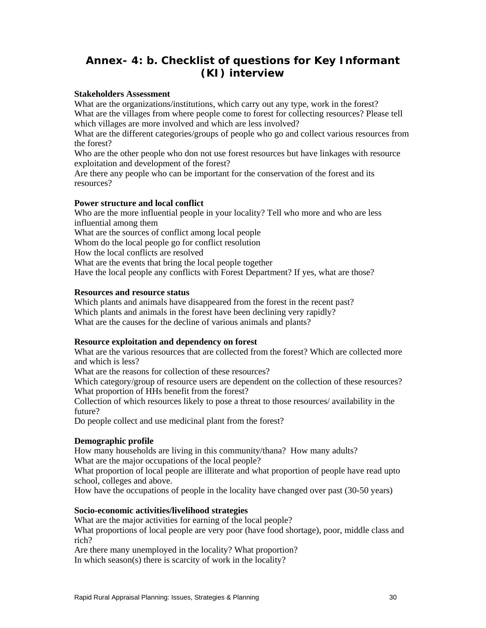# **Annex- 4: b. Checklist of questions for Key Informant (KI) interview**

### **Stakeholders Assessment**

What are the organizations/institutions, which carry out any type, work in the forest? What are the villages from where people come to forest for collecting resources? Please tell which villages are more involved and which are less involved?

What are the different categories/groups of people who go and collect various resources from the forest?

Who are the other people who don not use forest resources but have linkages with resource exploitation and development of the forest?

Are there any people who can be important for the conservation of the forest and its resources?

### **Power structure and local conflict**

Who are the more influential people in your locality? Tell who more and who are less influential among them What are the sources of conflict among local people Whom do the local people go for conflict resolution How the local conflicts are resolved What are the events that bring the local people together Have the local people any conflicts with Forest Department? If yes, what are those?

### **Resources and resource status**

Which plants and animals have disappeared from the forest in the recent past? Which plants and animals in the forest have been declining very rapidly? What are the causes for the decline of various animals and plants?

#### **Resource exploitation and dependency on forest**

What are the various resources that are collected from the forest? Which are collected more and which is less?

What are the reasons for collection of these resources?

Which category/group of resource users are dependent on the collection of these resources? What proportion of HHs benefit from the forest?

Collection of which resources likely to pose a threat to those resources/ availability in the future?

Do people collect and use medicinal plant from the forest?

### **Demographic profile**

How many households are living in this community/thana? How many adults? What are the major occupations of the local people?

What proportion of local people are illiterate and what proportion of people have read upto school, colleges and above.

How have the occupations of people in the locality have changed over past (30-50 years)

### **Socio-economic activities/livelihood strategies**

What are the major activities for earning of the local people?

What proportions of local people are very poor (have food shortage), poor, middle class and rich?

Are there many unemployed in the locality? What proportion? In which season(s) there is scarcity of work in the locality?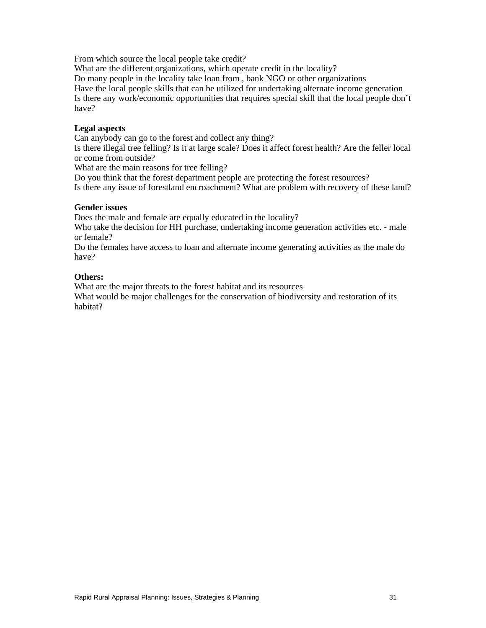From which source the local people take credit?

What are the different organizations, which operate credit in the locality?

Do many people in the locality take loan from , bank NGO or other organizations

Have the local people skills that can be utilized for undertaking alternate income generation Is there any work/economic opportunities that requires special skill that the local people don't have?

### **Legal aspects**

Can anybody can go to the forest and collect any thing?

Is there illegal tree felling? Is it at large scale? Does it affect forest health? Are the feller local or come from outside?

What are the main reasons for tree felling?

Do you think that the forest department people are protecting the forest resources?

Is there any issue of forestland encroachment? What are problem with recovery of these land?

#### **Gender issues**

Does the male and female are equally educated in the locality?

Who take the decision for HH purchase, undertaking income generation activities etc. - male or female?

Do the females have access to loan and alternate income generating activities as the male do have?

### **Others:**

What are the major threats to the forest habitat and its resources

What would be major challenges for the conservation of biodiversity and restoration of its habitat?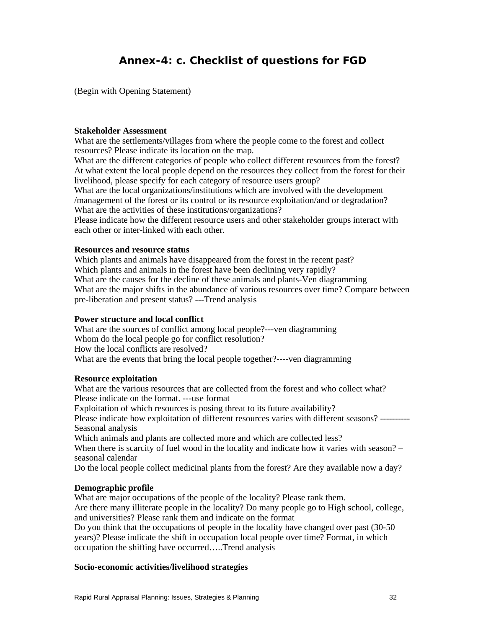# **Annex-4: c. Checklist of questions for FGD**

(Begin with Opening Statement)

#### **Stakeholder Assessment**

What are the settlements/villages from where the people come to the forest and collect resources? Please indicate its location on the map.

What are the different categories of people who collect different resources from the forest? At what extent the local people depend on the resources they collect from the forest for their livelihood, please specify for each category of resource users group?

What are the local organizations/institutions which are involved with the development /management of the forest or its control or its resource exploitation/and or degradation? What are the activities of these institutions/organizations?

Please indicate how the different resource users and other stakeholder groups interact with each other or inter-linked with each other.

### **Resources and resource status**

Which plants and animals have disappeared from the forest in the recent past? Which plants and animals in the forest have been declining very rapidly? What are the causes for the decline of these animals and plants-Ven diagramming What are the major shifts in the abundance of various resources over time? Compare between pre-liberation and present status? ---Trend analysis

#### **Power structure and local conflict**

What are the sources of conflict among local people?---ven diagramming Whom do the local people go for conflict resolution? How the local conflicts are resolved? What are the events that bring the local people together?----ven diagramming

#### **Resource exploitation**

What are the various resources that are collected from the forest and who collect what? Please indicate on the format. ---use format

Exploitation of which resources is posing threat to its future availability?

Please indicate how exploitation of different resources varies with different seasons? ---------- Seasonal analysis

Which animals and plants are collected more and which are collected less?

When there is scarcity of fuel wood in the locality and indicate how it varies with season? – seasonal calendar

Do the local people collect medicinal plants from the forest? Are they available now a day?

#### **Demographic profile**

What are major occupations of the people of the locality? Please rank them. Are there many illiterate people in the locality? Do many people go to High school, college, and universities? Please rank them and indicate on the format

Do you think that the occupations of people in the locality have changed over past (30-50 years)? Please indicate the shift in occupation local people over time? Format, in which occupation the shifting have occurred…..Trend analysis

#### **Socio-economic activities/livelihood strategies**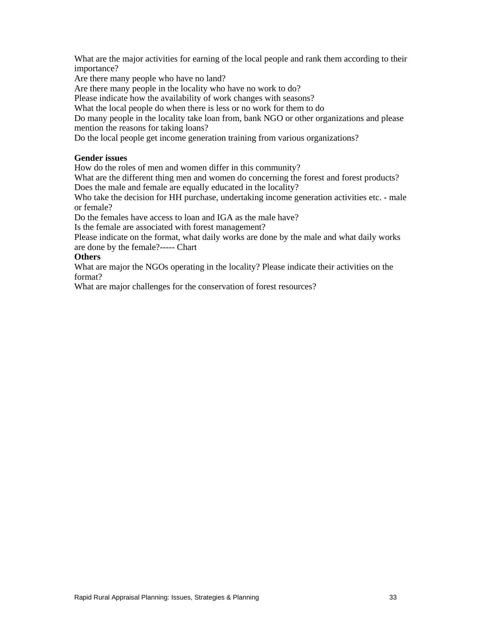What are the major activities for earning of the local people and rank them according to their importance?

Are there many people who have no land?

Are there many people in the locality who have no work to do?

Please indicate how the availability of work changes with seasons?

What the local people do when there is less or no work for them to do

Do many people in the locality take loan from, bank NGO or other organizations and please mention the reasons for taking loans?

Do the local people get income generation training from various organizations?

#### **Gender issues**

How do the roles of men and women differ in this community?

What are the different thing men and women do concerning the forest and forest products? Does the male and female are equally educated in the locality?

Who take the decision for HH purchase, undertaking income generation activities etc. - male or female?

Do the females have access to loan and IGA as the male have?

Is the female are associated with forest management?

Please indicate on the format, what daily works are done by the male and what daily works are done by the female?----- Chart

### **Others**

What are major the NGOs operating in the locality? Please indicate their activities on the format?

What are major challenges for the conservation of forest resources?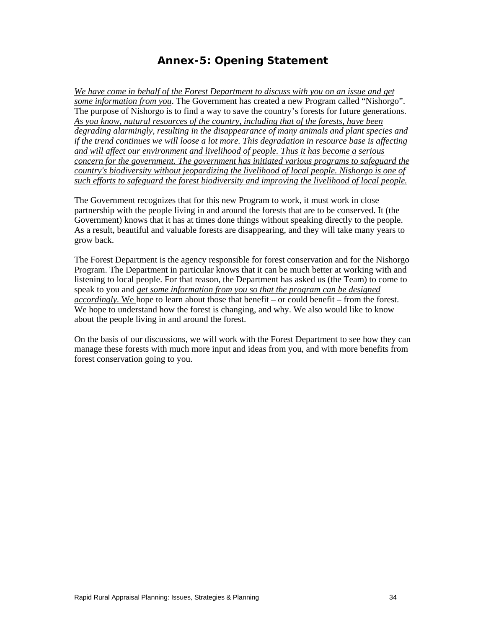# **Annex-5: Opening Statement**

*We have come in behalf of the Forest Department to discuss with you on an issue and get some information from you*. The Government has created a new Program called "Nishorgo". The purpose of Nishorgo is to find a way to save the country's forests for future generations. *As you know, natural resources of the country, including that of the forests, have been degrading alarmingly, resulting in the disappearance of many animals and plant species and if the trend continues we will loose a lot more. This degradation in resource base is affecting and will affect our environment and livelihood of people. Thus it has become a serious concern for the government. The government has initiated various programs to safeguard the country's biodiversity without jeopardizing the livelihood of local people. Nishorgo is one of such efforts to safeguard the forest biodiversity and improving the livelihood of local people.* 

The Government recognizes that for this new Program to work, it must work in close partnership with the people living in and around the forests that are to be conserved. It (the Government) knows that it has at times done things without speaking directly to the people. As a result, beautiful and valuable forests are disappearing, and they will take many years to grow back.

The Forest Department is the agency responsible for forest conservation and for the Nishorgo Program. The Department in particular knows that it can be much better at working with and listening to local people. For that reason, the Department has asked us (the Team) to come to speak to you and *get some information from you so that the program can be designed accordingly.* We hope to learn about those that benefit – or could benefit – from the forest. We hope to understand how the forest is changing, and why. We also would like to know about the people living in and around the forest.

On the basis of our discussions, we will work with the Forest Department to see how they can manage these forests with much more input and ideas from you, and with more benefits from forest conservation going to you.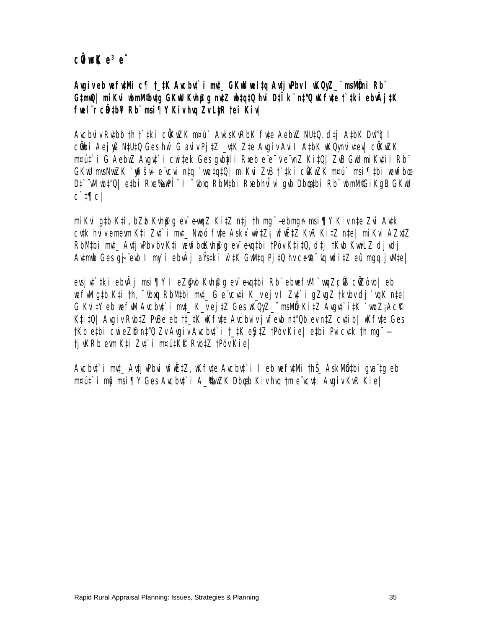### **cÜwK** e<sup>3</sup>e¨

Avgiveb wef**viMi c¶ t\_#K Avcbut`i mt\_ GKw weltq AvtivPbv I wKQwZ\_\*\* msIVDni Rb\*\* G‡mwQ| miKvi wbmM© bv‡g GKwU Kvh©µg nv‡Z wb‡q‡Q hvi D‡Ïk¨ n‡"Q wKfv‡e †`‡ki ebvÂj‡K fwel¨r cÖR‡b¥i Rb¨ msi¶Y Kiv hvq Zv Ly‡R †ei Kiv|** 

Avcbviv Rybb †h †`#ki cÖKuZK m¤ú` AvksKvRbK fyte AebuZ NU‡Q, d‡j A‡bK Dw™¢ I cÖbi Aejyß N#U#Q Ges hw` G aviv Pj‡Z \_v#K Z‡e Avgiv AviI A‡bK wKQy nviv‡ev| cÖKwZK m¤ú‡`i G AebwZ Avgv‡`i cwi‡ek Ges gvby‡li Rxeb e¨e¯'v e¨vnZ Ki‡Q| ZvB GwU miKv‡ii Rb¨ GKW msNwZK `yðšvi e vcvi n‡q `wo‡q‡Q| miKvi ZvB †`‡ki cÖKuZK n¤ú` msi¶‡bi vewfbœ Dî`¨W|\b‡"Q| etbi Rxe‰en I ¯'bxa RbMtbi Rxebhwîvi avb Dbestbi Rb¨ wbmW© iKaB GKwU c`‡¶c|

miKvi g‡b K‡i, bZb Kvh@q ev~evmz Ki‡Z n‡j †h mg<sup>-</sup>— ebmgn msi¶Y Kiv n‡e Zvi Av‡k cytk hvivemevm K‡i Zyť i m‡\_ Nubó fyte Askx`vri‡Zj vfiřtZ KvR Ki‡Z n‡e| miKvi AZxtZ RbMtbi mt\_ AvtjvPbv bv K‡i wewfboKvh@q ev evqtbi †Póv Kti‡Q, dtj †Kvb KvmLZ djvdj Avtmb Ges gj¨evb I mỳ i ebvÂj aŸstki w`‡K GwMtq Pj‡Q hv ce@~'vq wdi‡Z eû mgq jvMte|

evsjvt`#ki ebvÂj msi¶Y I eZ@yb Kvh@q ev~evq#bi Rb¨ ebwefvM `vmqZçÖB cÖZôvb| eb wefWlg#b K‡i †h, ~{bxq RbM#bi mt\_ G e`vcvti K\_vejv I Zvt`i gZvqZ †kvbv dj`vqK n‡e| G Kvi‡Y eb wefWI Avcbyt`i mrt\_ K\_v ej‡Z Ges WQyZ\_" msMÖ Ki‡Z Avgyt`i‡K `vmqZ;Ac® Kti‡Q| Avgiv Rub‡Z PuBe eb †‡\_#K wKfvte Avcbviv jvfevb n‡"Qb ev n‡Z cv‡ib| wKfvte Ges †Kb e‡bi cwieZ©b n‡"Q Zv Avgiv Avcbv‡`i †\_‡K eyS‡Z †Póv Kie| e‡bi Pvicv‡k †h mg¯— †jvKRb evm K‡i Zv‡`i m¤ú‡K©I Rvb‡Z †Póv Kie|

Avcbu‡`i mut\_ Avtj vPbvi wfwŽtZ, wK fvte Avcbu‡`i I eb wefutMi thŠ\_ AskMÖn‡bi gva`tg eb m¤ú‡`i mô msi¶Y Ges Avcbyt`i A\_®wZK Dbgb Kiv hvq †m eïvcyti Avgiv KvR Kie|